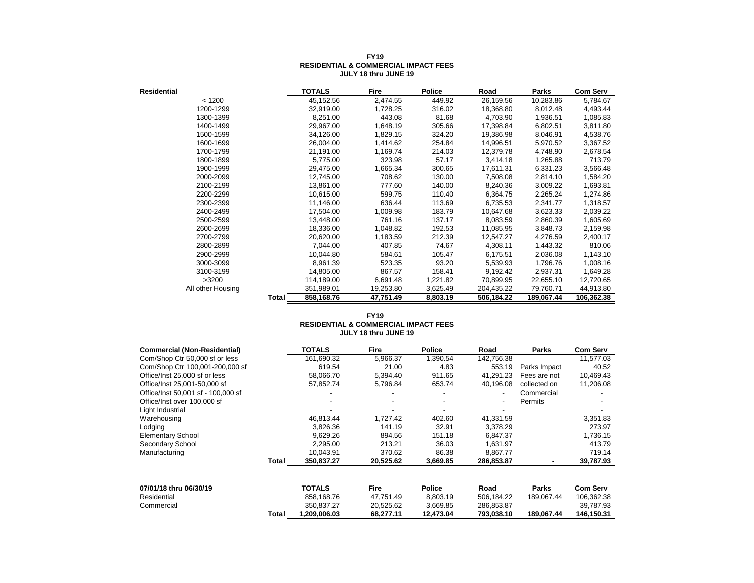| <b>Residential</b> |       | <b>TOTALS</b> | Fire      | <b>Police</b> | Road       | Parks      | <b>Com Serv</b> |
|--------------------|-------|---------------|-----------|---------------|------------|------------|-----------------|
| < 1200             |       | 45,152.56     | 2,474.55  | 449.92        | 26,159.56  | 10,283.86  | 5,784.67        |
| 1200-1299          |       | 32,919.00     | 1,728.25  | 316.02        | 18,368.80  | 8,012.48   | 4,493.44        |
| 1300-1399          |       | 8,251.00      | 443.08    | 81.68         | 4,703.90   | 1,936.51   | 1,085.83        |
| 1400-1499          |       | 29,967.00     | 1,648.19  | 305.66        | 17,398.84  | 6,802.51   | 3,811.80        |
| 1500-1599          |       | 34,126.00     | 1,829.15  | 324.20        | 19,386.98  | 8,046.91   | 4,538.76        |
| 1600-1699          |       | 26,004.00     | 1,414.62  | 254.84        | 14,996.51  | 5,970.52   | 3,367.52        |
| 1700-1799          |       | 21,191.00     | 1,169.74  | 214.03        | 12,379.78  | 4,748.90   | 2,678.54        |
| 1800-1899          |       | 5,775.00      | 323.98    | 57.17         | 3,414.18   | 1,265.88   | 713.79          |
| 1900-1999          |       | 29,475.00     | 1,665.34  | 300.65        | 17,611.31  | 6,331.23   | 3,566.48        |
| 2000-2099          |       | 12,745.00     | 708.62    | 130.00        | 7,508.08   | 2,814.10   | 1,584.20        |
| 2100-2199          |       | 13,861.00     | 777.60    | 140.00        | 8,240.36   | 3,009.22   | 1,693.81        |
| 2200-2299          |       | 10,615.00     | 599.75    | 110.40        | 6,364.75   | 2,265.24   | 1,274.86        |
| 2300-2399          |       | 11,146.00     | 636.44    | 113.69        | 6,735.53   | 2,341.77   | 1,318.57        |
| 2400-2499          |       | 17,504.00     | 1,009.98  | 183.79        | 10,647.68  | 3,623.33   | 2,039.22        |
| 2500-2599          |       | 13,448.00     | 761.16    | 137.17        | 8,083.59   | 2,860.39   | 1,605.69        |
| 2600-2699          |       | 18,336.00     | 1,048.82  | 192.53        | 11,085.95  | 3,848.73   | 2,159.98        |
| 2700-2799          |       | 20,620.00     | 1,183.59  | 212.39        | 12,547.27  | 4,276.59   | 2,400.17        |
| 2800-2899          |       | 7,044.00      | 407.85    | 74.67         | 4,308.11   | 1,443.32   | 810.06          |
| 2900-2999          |       | 10,044.80     | 584.61    | 105.47        | 6,175.51   | 2,036.08   | 1,143.10        |
| 3000-3099          |       | 8,961.39      | 523.35    | 93.20         | 5,539.93   | 1,796.76   | 1,008.16        |
| 3100-3199          |       | 14,805.00     | 867.57    | 158.41        | 9,192.42   | 2,937.31   | 1,649.28        |
| >3200              |       | 114,189.00    | 6,691.48  | 1,221.82      | 70,899.95  | 22,655.10  | 12,720.65       |
| All other Housing  |       | 351,989.01    | 19,253.80 | 3,625.49      | 204,435.22 | 79,760.71  | 44,913.80       |
|                    | Total | 858,168.76    | 47,751.49 | 8,803.19      | 506,184.22 | 189,067.44 | 106,362.38      |

#### **FY19 RESIDENTIAL & COMMERCIAL IMPACT FEES JULY 18 thru JUNE 19**

#### **FY19 RESIDENTIAL & COMMERCIAL IMPACT FEES JULY 18 thru JUNE 19**

| <b>Commercial (Non-Residential)</b> |              | <b>TOTALS</b> | Fire        | Police   | Road       | Parks        | <b>Com Serv</b> |
|-------------------------------------|--------------|---------------|-------------|----------|------------|--------------|-----------------|
| Com/Shop Ctr 50,000 sf or less      |              | 161,690.32    | 5,966.37    | 1,390.54 | 142,756.38 |              | 11,577.03       |
| Com/Shop Ctr 100,001-200,000 sf     |              | 619.54        | 21.00       | 4.83     | 553.19     | Parks Impact | 40.52           |
| Office/Inst 25,000 sf or less       |              | 58,066.70     | 5,394.40    | 911.65   | 41.291.23  | Fees are not | 10,469.43       |
| Office/Inst 25.001-50.000 sf        |              | 57,852.74     | 5,796.84    | 653.74   | 40,196.08  | collected on | 11,206.08       |
| Office/Inst 50,001 sf - 100,000 sf  |              |               |             |          |            | Commercial   |                 |
| Office/Inst over 100,000 sf         |              |               |             |          |            | Permits      |                 |
| Light Industrial                    |              |               |             |          |            |              |                 |
| Warehousing                         |              | 46.813.44     | 1.727.42    | 402.60   | 41,331.59  |              | 3,351.83        |
| Lodging                             |              | 3.826.36      | 141.19      | 32.91    | 3.378.29   |              | 273.97          |
| <b>Elementary School</b>            |              | 9.629.26      | 894.56      | 151.18   | 6.847.37   |              | 1,736.15        |
| Secondary School                    |              | 2,295.00      | 213.21      | 36.03    | 1,631.97   |              | 413.79          |
| Manufacturing                       |              | 10.043.91     | 370.62      | 86.38    | 8,867.77   |              | 719.14          |
|                                     | <b>Total</b> | 350,837.27    | 20,525.62   | 3,669.85 | 286,853.87 |              | 39,787.93       |
|                                     |              |               |             |          |            |              |                 |
| 07/01/18 thru 06/30/19              |              | <b>TOTALS</b> | <b>Fire</b> | Police   | Road       | Parks        | <b>Com Serv</b> |
| Residential                         |              | 858.168.76    | 47.751.49   | 8,803.19 | 506.184.22 | 189.067.44   | 106,362.38      |
| Commercial                          |              | 350,837.27    | 20,525.62   | 3,669.85 | 286,853.87 |              | 39,787.93       |

**Total 1,209,006.03 68,277.11 12,473.04 793,038.10 189,067.44 146,150.31**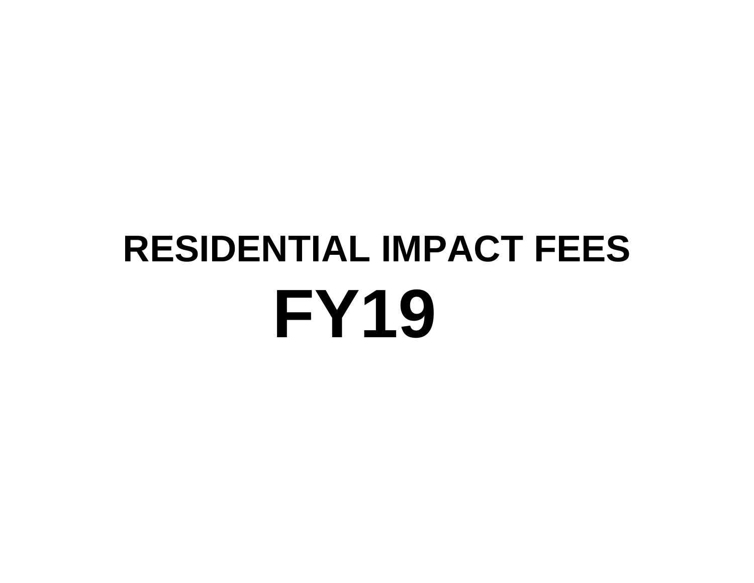# **FY19 RESIDENTIAL IMPACT FEES**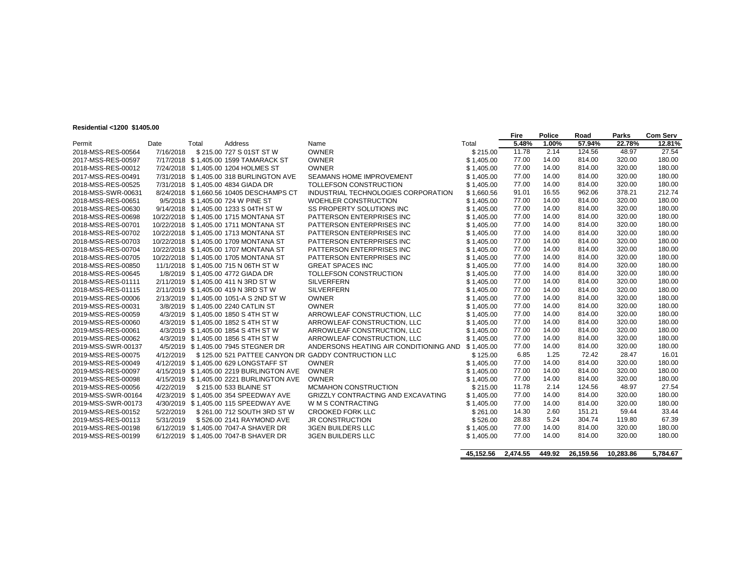#### **Residential <1200 \$1405.00**

|                    |           |       |                                          |                                                     |            | Fire  | <b>Police</b> | Road   | Parks  | <b>Com Serv</b> |
|--------------------|-----------|-------|------------------------------------------|-----------------------------------------------------|------------|-------|---------------|--------|--------|-----------------|
| Permit             | Date      | Total | Address                                  | Name                                                | Total      | 5.48% | 1.00%         | 57.94% | 22.78% | 12.81%          |
| 2018-MSS-RES-00564 | 7/16/2018 |       | \$215.00 727 S 01ST ST W                 | <b>OWNER</b>                                        | \$215.00   | 11.78 | 2.14          | 124.56 | 48.97  | 27.54           |
| 2017-MSS-RES-00597 |           |       | 7/17/2018 \$1,405.00 1599 TAMARACK ST    | <b>OWNER</b>                                        | \$1,405.00 | 77.00 | 14.00         | 814.00 | 320.00 | 180.00          |
| 2018-MSS-RES-00012 |           |       | 7/24/2018 \$1,405.00 1204 HOLMES ST      | <b>OWNER</b>                                        | \$1,405.00 | 77.00 | 14.00         | 814.00 | 320.00 | 180.00          |
| 2017-MSS-RES-00491 |           |       | 7/31/2018 \$1,405.00 318 BURLINGTON AVE  | <b>SEAMANS HOME IMPROVEMENT</b>                     | \$1,405.00 | 77.00 | 14.00         | 814.00 | 320.00 | 180.00          |
| 2018-MSS-RES-00525 |           |       | 7/31/2018 \$1.405.00 4834 GIADA DR       | TOLLEFSON CONSTRUCTION                              | \$1,405.00 | 77.00 | 14.00         | 814.00 | 320.00 | 180.00          |
| 2018-MSS-SWR-00631 |           |       | 8/24/2018 \$1.660.56 10405 DESCHAMPS CT  | INDUSTRIAL TECHNOLOGIES CORPORATION                 | \$1.660.56 | 91.01 | 16.55         | 962.06 | 378.21 | 212.74          |
| 2018-MSS-RES-00651 |           |       | 9/5/2018 \$1,405.00 724 W PINE ST        | <b>WOEHLER CONSTRUCTION</b>                         | \$1,405.00 | 77.00 | 14.00         | 814.00 | 320.00 | 180.00          |
| 2018-MSS-RES-00630 |           |       | 9/14/2018 \$1.405.00 1233 S 04TH ST W    | SS PROPERTY SOLUTIONS INC                           | \$1.405.00 | 77.00 | 14.00         | 814.00 | 320.00 | 180.00          |
| 2018-MSS-RES-00698 |           |       | 10/22/2018 \$1.405.00 1715 MONTANA ST    | PATTERSON ENTERPRISES INC                           | \$1.405.00 | 77.00 | 14.00         | 814.00 | 320.00 | 180.00          |
| 2018-MSS-RES-00701 |           |       | 10/22/2018 \$1.405.00 1711 MONTANA ST    | PATTERSON ENTERPRISES INC                           | \$1.405.00 | 77.00 | 14.00         | 814.00 | 320.00 | 180.00          |
| 2018-MSS-RES-00702 |           |       | 10/22/2018 \$1,405.00 1713 MONTANA ST    | PATTERSON ENTERPRISES INC                           | \$1,405.00 | 77.00 | 14.00         | 814.00 | 320.00 | 180.00          |
| 2018-MSS-RES-00703 |           |       | 10/22/2018 \$1,405.00 1709 MONTANA ST    | PATTERSON ENTERPRISES INC                           | \$1.405.00 | 77.00 | 14.00         | 814.00 | 320.00 | 180.00          |
| 2018-MSS-RES-00704 |           |       | 10/22/2018 \$1.405.00 1707 MONTANA ST    | PATTERSON ENTERPRISES INC                           | \$1.405.00 | 77.00 | 14.00         | 814.00 | 320.00 | 180.00          |
| 2018-MSS-RES-00705 |           |       | 10/22/2018 \$1.405.00 1705 MONTANA ST    | PATTERSON ENTERPRISES INC                           | \$1.405.00 | 77.00 | 14.00         | 814.00 | 320.00 | 180.00          |
| 2018-MSS-RES-00850 |           |       | 11/1/2018 \$1,405.00 715 N 06TH ST W     | <b>GREAT SPACES INC</b>                             | \$1,405.00 | 77.00 | 14.00         | 814.00 | 320.00 | 180.00          |
| 2018-MSS-RES-00645 |           |       | 1/8/2019 \$1.405.00 4772 GIADA DR        | TOLLEFSON CONSTRUCTION                              | \$1,405.00 | 77.00 | 14.00         | 814.00 | 320.00 | 180.00          |
| 2018-MSS-RES-01111 |           |       | 2/11/2019 \$1.405.00 411 N 3RD ST W      | <b>SILVERFERN</b>                                   | \$1.405.00 | 77.00 | 14.00         | 814.00 | 320.00 | 180.00          |
| 2018-MSS-RES-01115 |           |       | 2/11/2019 \$1,405.00 419 N 3RD ST W      | <b>SILVERFERN</b>                                   | \$1,405.00 | 77.00 | 14.00         | 814.00 | 320.00 | 180.00          |
| 2019-MSS-RES-00006 |           |       | 2/13/2019 \$1,405.00 1051-A S 2ND ST W   | <b>OWNER</b>                                        | \$1,405.00 | 77.00 | 14.00         | 814.00 | 320.00 | 180.00          |
| 2019-MSS-RES-00031 |           |       | 3/8/2019 \$1,405.00 2240 CATLIN ST       | <b>OWNER</b>                                        | \$1,405.00 | 77.00 | 14.00         | 814.00 | 320.00 | 180.00          |
| 2019-MSS-RES-00059 |           |       | 4/3/2019 \$1.405.00 1850 S 4TH ST W      | ARROWLEAF CONSTRUCTION, LLC                         | \$1,405.00 | 77.00 | 14.00         | 814.00 | 320.00 | 180.00          |
| 2019-MSS-RES-00060 |           |       | 4/3/2019 \$1.405.00 1852 S 4TH ST W      | ARROWLEAF CONSTRUCTION, LLC                         | \$1,405.00 | 77.00 | 14.00         | 814.00 | 320.00 | 180.00          |
| 2019-MSS-RES-00061 |           |       | 4/3/2019 \$1.405.00 1854 S4TH STW        | ARROWLEAF CONSTRUCTION, LLC                         | \$1.405.00 | 77.00 | 14.00         | 814.00 | 320.00 | 180.00          |
| 2019-MSS-RES-00062 |           |       | 4/3/2019 \$1.405.00 1856 S 4TH ST W      | ARROWLEAF CONSTRUCTION. LLC                         | \$1.405.00 | 77.00 | 14.00         | 814.00 | 320.00 | 180.00          |
| 2019-MSS-SWR-00137 |           |       | 4/5/2019 \$1,405.00 7945 STEGNER DR      | ANDERSONS HEATING AIR CONDITIONING AND              | \$1,405.00 | 77.00 | 14.00         | 814.00 | 320.00 | 180.00          |
| 2019-MSS-RES-00075 | 4/12/2019 |       |                                          | \$125.00 521 PATTEE CANYON DR GADDY CONTRUCTION LLC | \$125.00   | 6.85  | 1.25          | 72.42  | 28.47  | 16.01           |
| 2019-MSS-RES-00049 |           |       | 4/12/2019 \$1,405.00 629 LONGSTAFF ST    | <b>OWNER</b>                                        | \$1,405.00 | 77.00 | 14.00         | 814.00 | 320.00 | 180.00          |
| 2019-MSS-RES-00097 |           |       | 4/15/2019 \$1,405.00 2219 BURLINGTON AVE | <b>OWNER</b>                                        | \$1,405.00 | 77.00 | 14.00         | 814.00 | 320.00 | 180.00          |
| 2019-MSS-RES-00098 |           |       | 4/15/2019 \$1,405.00 2221 BURLINGTON AVE | OWNER                                               | \$1,405.00 | 77.00 | 14.00         | 814.00 | 320.00 | 180.00          |
| 2019-MSS-RES-00056 | 4/22/2019 |       | \$215.00 533 BLAINE ST                   | MCMAHON CONSTRUCTION                                | \$215.00   | 11.78 | 2.14          | 124.56 | 48.97  | 27.54           |
| 2019-MSS-SWR-00164 |           |       | 4/23/2019 \$1.405.00 354 SPEEDWAY AVE    | <b>GRIZZLY CONTRACTING AND EXCAVATING</b>           | \$1.405.00 | 77.00 | 14.00         | 814.00 | 320.00 | 180.00          |
| 2019-MSS-SWR-00173 |           |       | 4/30/2019 \$1.405.00 115 SPEEDWAY AVE    | W M S CONTRACTING                                   | \$1.405.00 | 77.00 | 14.00         | 814.00 | 320.00 | 180.00          |
| 2019-MSS-RES-00152 | 5/22/2019 |       | \$261.00 712 SOUTH 3RD ST W              | CROOKED FORK LLC                                    | \$261.00   | 14.30 | 2.60          | 151.21 | 59.44  | 33.44           |
| 2019-MSS-RES-00113 | 5/31/2019 |       | \$526.00 2141 RAYMOND AVE                | <b>JR CONSTRUCTION</b>                              | \$526.00   | 28.83 | 5.24          | 304.74 | 119.80 | 67.39           |
| 2019-MSS-RES-00198 |           |       | 6/12/2019 \$1.405.00 7047-A SHAVER DR    | <b>3GEN BUILDERS LLC</b>                            | \$1.405.00 | 77.00 | 14.00         | 814.00 | 320.00 | 180.00          |
| 2019-MSS-RES-00199 |           |       | 6/12/2019 \$1,405.00 7047-B SHAVER DR    | <b>3GEN BUILDERS LLC</b>                            | \$1,405.00 | 77.00 | 14.00         | 814.00 | 320.00 | 180.00          |
|                    |           |       |                                          |                                                     |            |       |               |        |        |                 |

**45,152.56 2,474.55 449.92 26,159.56 10,283.86 5,784.67**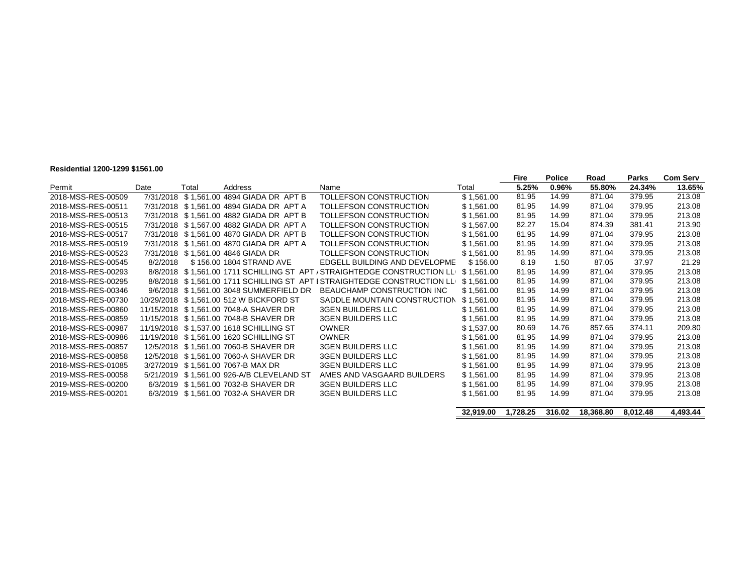## **Residential 1200-1299 \$1561.00**

|                    |           |       |                                           |                                                                           |            | Fire     | <b>Police</b> | Road      | Parks    | <b>Com Serv</b> |
|--------------------|-----------|-------|-------------------------------------------|---------------------------------------------------------------------------|------------|----------|---------------|-----------|----------|-----------------|
| Permit             | Date      | Total | Address                                   | Name                                                                      | Total      | 5.25%    | 0.96%         | 55.80%    | 24.34%   | 13.65%          |
| 2018-MSS-RES-00509 | 7/31/2018 |       | \$1,561.00 4894 GIADA DR APT B            | TOLLEFSON CONSTRUCTION                                                    | \$1,561.00 | 81.95    | 14.99         | 871.04    | 379.95   | 213.08          |
| 2018-MSS-RES-00511 |           |       | 7/31/2018 \$1.561.00 4894 GIADA DR APT A  | TOLLEFSON CONSTRUCTION                                                    | \$1.561.00 | 81.95    | 14.99         | 871.04    | 379.95   | 213.08          |
| 2018-MSS-RES-00513 |           |       | 7/31/2018 \$1.561.00 4882 GIADA DR APT B  | TOLLEFSON CONSTRUCTION                                                    | \$1.561.00 | 81.95    | 14.99         | 871.04    | 379.95   | 213.08          |
| 2018-MSS-RES-00515 |           |       | 7/31/2018 \$1,567.00 4882 GIADA DR APT A  | TOLLEFSON CONSTRUCTION                                                    | \$1,567.00 | 82.27    | 15.04         | 874.39    | 381.41   | 213.90          |
| 2018-MSS-RES-00517 |           |       | 7/31/2018 \$1,561.00 4870 GIADA DR APT B  | TOLLEFSON CONSTRUCTION                                                    | \$1,561.00 | 81.95    | 14.99         | 871.04    | 379.95   | 213.08          |
| 2018-MSS-RES-00519 |           |       | 7/31/2018 \$1,561.00 4870 GIADA DR APT A  | TOLLEFSON CONSTRUCTION                                                    | \$1,561.00 | 81.95    | 14.99         | 871.04    | 379.95   | 213.08          |
| 2018-MSS-RES-00523 |           |       | 7/31/2018 \$1,561.00 4846 GIADA DR        | TOLLEFSON CONSTRUCTION                                                    | \$1,561.00 | 81.95    | 14.99         | 871.04    | 379.95   | 213.08          |
| 2018-MSS-RES-00545 | 8/2/2018  |       | \$156.00 1804 STRAND AVE                  | EDGELL BUILDING AND DEVELOPME                                             | \$156.00   | 8.19     | 1.50          | 87.05     | 37.97    | 21.29           |
| 2018-MSS-RES-00293 |           |       |                                           | 8/8/2018 \$1,561.00 1711 SCHILLING ST APT / STRAIGHTEDGE CONSTRUCTION LLI | \$1,561.00 | 81.95    | 14.99         | 871.04    | 379.95   | 213.08          |
| 2018-MSS-RES-00295 |           |       |                                           | 8/8/2018 \$1,561.00 1711 SCHILLING ST APT I STRAIGHTEDGE CONSTRUCTION LLI | \$1.561.00 | 81.95    | 14.99         | 871.04    | 379.95   | 213.08          |
| 2018-MSS-RES-00346 |           |       | 9/6/2018 \$1,561.00 3048 SUMMERFIELD DR   | BEAUCHAMP CONSTRUCTION INC                                                | \$1,561.00 | 81.95    | 14.99         | 871.04    | 379.95   | 213.08          |
| 2018-MSS-RES-00730 |           |       | 10/29/2018 \$1,561.00 512 W BICKFORD ST   | SADDLE MOUNTAIN CONSTRUCTION                                              | \$1,561.00 | 81.95    | 14.99         | 871.04    | 379.95   | 213.08          |
| 2018-MSS-RES-00860 |           |       | 11/15/2018 \$1,561.00 7048-A SHAVER DR    | <b>3GEN BUILDERS LLC</b>                                                  | \$1,561.00 | 81.95    | 14.99         | 871.04    | 379.95   | 213.08          |
| 2018-MSS-RES-00859 |           |       | 11/15/2018 \$1,561.00 7048-B SHAVER DR    | <b>3GEN BUILDERS LLC</b>                                                  | \$1,561.00 | 81.95    | 14.99         | 871.04    | 379.95   | 213.08          |
| 2018-MSS-RES-00987 |           |       | 11/19/2018 \$1,537.00 1618 SCHILLING ST   | <b>OWNER</b>                                                              | \$1,537.00 | 80.69    | 14.76         | 857.65    | 374.11   | 209.80          |
| 2018-MSS-RES-00986 |           |       | 11/19/2018 \$1,561.00 1620 SCHILLING ST   | <b>OWNER</b>                                                              | \$1.561.00 | 81.95    | 14.99         | 871.04    | 379.95   | 213.08          |
| 2018-MSS-RES-00857 |           |       | 12/5/2018 \$1,561.00 7060-B SHAVER DR     | <b>3GEN BUILDERS LLC</b>                                                  | \$1,561.00 | 81.95    | 14.99         | 871.04    | 379.95   | 213.08          |
| 2018-MSS-RES-00858 |           |       | 12/5/2018 \$1.561.00 7060-A SHAVER DR     | <b>3GEN BUILDERS LLC</b>                                                  | \$1.561.00 | 81.95    | 14.99         | 871.04    | 379.95   | 213.08          |
| 2018-MSS-RES-01085 |           |       | 3/27/2019 \$1,561.00 7067-B MAX DR        | <b>3GEN BUILDERS LLC</b>                                                  | \$1,561.00 | 81.95    | 14.99         | 871.04    | 379.95   | 213.08          |
| 2019-MSS-RES-00058 |           |       | 5/21/2019 \$1,561.00 926-A/B CLEVELAND ST | AMES AND VASGAARD BUILDERS                                                | \$1,561.00 | 81.95    | 14.99         | 871.04    | 379.95   | 213.08          |
| 2019-MSS-RES-00200 |           |       | 6/3/2019 \$1,561.00 7032-B SHAVER DR      | <b>3GEN BUILDERS LLC</b>                                                  | \$1,561.00 | 81.95    | 14.99         | 871.04    | 379.95   | 213.08          |
| 2019-MSS-RES-00201 |           |       | 6/3/2019 \$1,561.00 7032-A SHAVER DR      | <b>3GEN BUILDERS LLC</b>                                                  | \$1.561.00 | 81.95    | 14.99         | 871.04    | 379.95   | 213.08          |
|                    |           |       |                                           |                                                                           |            |          |               |           |          |                 |
|                    |           |       |                                           |                                                                           | 32,919.00  | 1,728.25 | 316.02        | 18,368.80 | 8,012.48 | 4,493.44        |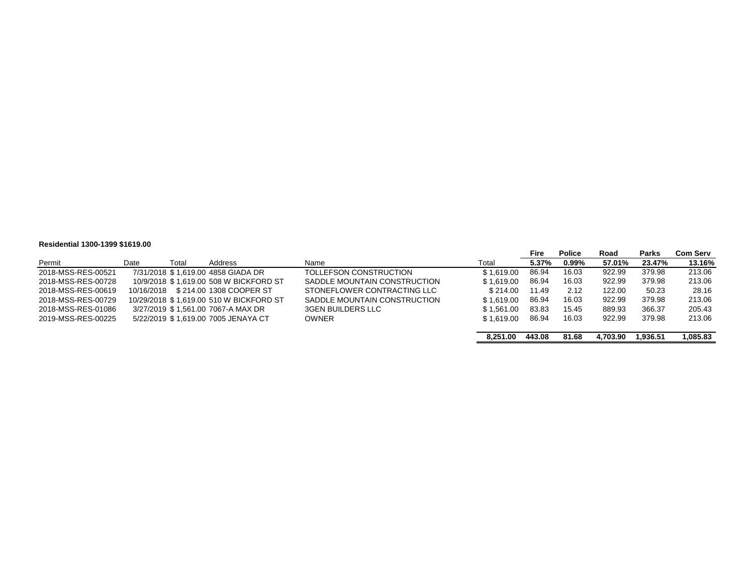#### **Residential 1300-1399 \$1619.00**

|                    |            |       |                                         |                              |            | Fire   | <b>Police</b> | Road     | <b>Parks</b> | Com Serv |
|--------------------|------------|-------|-----------------------------------------|------------------------------|------------|--------|---------------|----------|--------------|----------|
| Permit             | Date       | Total | Address                                 | Name                         | Total      | 5.37%  | 0.99%         | 57.01%   | 23.47%       | 13.16%   |
| 2018-MSS-RES-00521 |            |       | 7/31/2018 \$1.619.00 4858 GIADA DR      | TOLLEFSON CONSTRUCTION       | \$1.619.00 | 86.94  | 16.03         | 922.99   | 379.98       | 213.06   |
| 2018-MSS-RES-00728 |            |       | 10/9/2018 \$1.619.00 508 W BICKFORD ST  | SADDLE MOUNTAIN CONSTRUCTION | \$1.619.00 | 86.94  | 16.03         | 922.99   | 379.98       | 213.06   |
| 2018-MSS-RES-00619 | 10/16/2018 |       | \$214.00 1308 COOPER ST                 | STONEFLOWER CONTRACTING LLC  | \$214.00   | 11.49  | 2.12          | 122.00   | 50.23        | 28.16    |
| 2018-MSS-RES-00729 |            |       | 10/29/2018 \$1.619.00 510 W BICKFORD ST | SADDLE MOUNTAIN CONSTRUCTION | \$1.619.00 | 86.94  | 16.03         | 922.99   | 379.98       | 213.06   |
| 2018-MSS-RES-01086 |            |       | 3/27/2019 \$1.561.00 7067-A MAX DR      | 3GEN BUILDERS LLC            | \$1.561.00 | 83.83  | 15.45         | 889.93   | 366.37       | 205.43   |
| 2019-MSS-RES-00225 |            |       | 5/22/2019 \$1.619.00 7005 JENAYA CT     | <b>OWNER</b>                 | \$1.619.00 | 86.94  | 16.03         | 922.99   | 379.98       | 213.06   |
|                    |            |       |                                         |                              |            |        |               |          |              |          |
|                    |            |       |                                         |                              | 8.251.00   | 443.08 | 81.68         | 4.703.90 | 1.936.51     | 1.085.83 |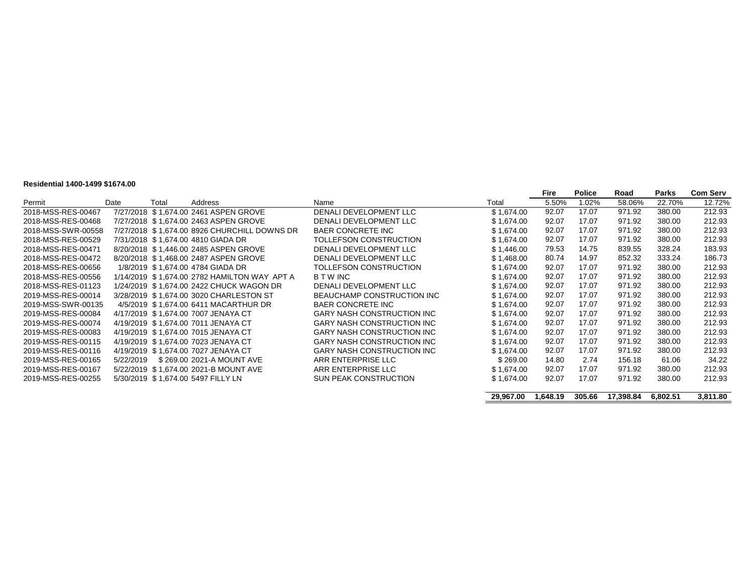#### **Residential 1400-1499 \$1674.00**

|                    |           |       |                                              |                                   |            | Fire     | <b>Police</b> | Road      | Parks    | <b>Com Serv</b> |
|--------------------|-----------|-------|----------------------------------------------|-----------------------------------|------------|----------|---------------|-----------|----------|-----------------|
| Permit             | Date      | Total | Address                                      | Name                              | Total      | 5.50%    | 1.02%         | 58.06%    | 22.70%   | 12.72%          |
| 2018-MSS-RES-00467 |           |       | 7/27/2018 \$1.674.00 2461 ASPEN GROVE        | DENALI DEVELOPMENT LLC            | \$1,674.00 | 92.07    | 17.07         | 971.92    | 380.00   | 212.93          |
| 2018-MSS-RES-00468 |           |       | 7/27/2018 \$1.674.00 2463 ASPEN GROVE        | DENALI DEVELOPMENT LLC            | \$1,674.00 | 92.07    | 17.07         | 971.92    | 380.00   | 212.93          |
| 2018-MSS-SWR-00558 |           |       | 7/27/2018 \$1,674.00 8926 CHURCHILL DOWNS DR | <b>BAER CONCRETE INC</b>          | \$1,674.00 | 92.07    | 17.07         | 971.92    | 380.00   | 212.93          |
| 2018-MSS-RES-00529 |           |       | 7/31/2018 \$1,674.00 4810 GIADA DR           | TOLLEFSON CONSTRUCTION            | \$1,674.00 | 92.07    | 17.07         | 971.92    | 380.00   | 212.93          |
| 2018-MSS-RES-00471 |           |       | 8/20/2018 \$1.446.00 2485 ASPEN GROVE        | DENALI DEVELOPMENT LLC            | \$1,446.00 | 79.53    | 14.75         | 839.55    | 328.24   | 183.93          |
| 2018-MSS-RES-00472 |           |       | 8/20/2018 \$1,468.00 2487 ASPEN GROVE        | DENALI DEVELOPMENT LLC            | \$1,468.00 | 80.74    | 14.97         | 852.32    | 333.24   | 186.73          |
| 2018-MSS-RES-00656 |           |       | 1/8/2019 \$1,674.00 4784 GIADA DR            | TOLLEFSON CONSTRUCTION            | \$1,674.00 | 92.07    | 17.07         | 971.92    | 380.00   | 212.93          |
| 2018-MSS-RES-00556 |           |       | 1/14/2019 \$1,674.00 2782 HAMILTON WAY APT A | <b>BTWINC</b>                     | \$1,674.00 | 92.07    | 17.07         | 971.92    | 380.00   | 212.93          |
| 2018-MSS-RES-01123 |           |       | 1/24/2019 \$1,674.00 2422 CHUCK WAGON DR     | DENALI DEVELOPMENT LLC            | \$1,674.00 | 92.07    | 17.07         | 971.92    | 380.00   | 212.93          |
| 2019-MSS-RES-00014 |           |       | 3/28/2019 \$1.674.00 3020 CHARLESTON ST      | BEAUCHAMP CONSTRUCTION INC        | \$1.674.00 | 92.07    | 17.07         | 971.92    | 380.00   | 212.93          |
| 2019-MSS-SWR-00135 |           |       | 4/5/2019 \$1,674.00 6411 MACARTHUR DR        | <b>BAER CONCRETE INC</b>          | \$1,674.00 | 92.07    | 17.07         | 971.92    | 380.00   | 212.93          |
| 2019-MSS-RES-00084 |           |       | 4/17/2019 \$1.674.00 7007 JENAYA CT          | <b>GARY NASH CONSTRUCTION INC</b> | \$1.674.00 | 92.07    | 17.07         | 971.92    | 380.00   | 212.93          |
| 2019-MSS-RES-00074 |           |       | 4/19/2019 \$1,674.00 7011 JENAYA CT          | <b>GARY NASH CONSTRUCTION INC</b> | \$1,674.00 | 92.07    | 17.07         | 971.92    | 380.00   | 212.93          |
| 2019-MSS-RES-00083 |           |       | 4/19/2019 \$1,674.00 7015 JENAYA CT          | <b>GARY NASH CONSTRUCTION INC</b> | \$1,674.00 | 92.07    | 17.07         | 971.92    | 380.00   | 212.93          |
| 2019-MSS-RES-00115 |           |       | 4/19/2019 \$1,674.00 7023 JENAYA CT          | <b>GARY NASH CONSTRUCTION INC</b> | \$1,674.00 | 92.07    | 17.07         | 971.92    | 380.00   | 212.93          |
| 2019-MSS-RES-00116 |           |       | 4/19/2019 \$1.674.00 7027 JENAYA CT          | <b>GARY NASH CONSTRUCTION INC</b> | \$1.674.00 | 92.07    | 17.07         | 971.92    | 380.00   | 212.93          |
| 2019-MSS-RES-00165 | 5/22/2019 |       | \$269.00 2021-A MOUNT AVE                    | ARR ENTERPRISE LLC                | \$269.00   | 14.80    | 2.74          | 156.18    | 61.06    | 34.22           |
| 2019-MSS-RES-00167 |           |       | 5/22/2019 \$1,674.00 2021-B MOUNT AVE        | ARR ENTERPRISE LLC                | \$1,674.00 | 92.07    | 17.07         | 971.92    | 380.00   | 212.93          |
| 2019-MSS-RES-00255 |           |       | 5/30/2019 \$1,674.00 5497 FILLY LN           | SUN PEAK CONSTRUCTION             | \$1,674.00 | 92.07    | 17.07         | 971.92    | 380.00   | 212.93          |
|                    |           |       |                                              |                                   | 29.967.00  | 1,648.19 | 305.66        | 17.398.84 | 6.802.51 | 3.811.80        |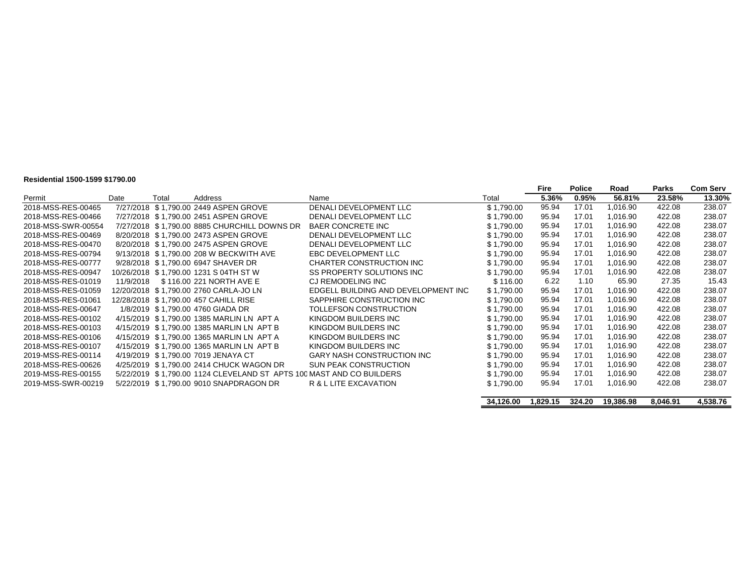#### **Residential 1500-1599 \$1790.00**

|                    |           |       |                                                                      |                                     |            | Fire     | <b>Police</b> | Road      | <b>Parks</b> | <b>Com Serv</b> |
|--------------------|-----------|-------|----------------------------------------------------------------------|-------------------------------------|------------|----------|---------------|-----------|--------------|-----------------|
| Permit             | Date      | Total | Address                                                              | Name                                | Total      | 5.36%    | 0.95%         | 56.81%    | 23.58%       | 13.30%          |
| 2018-MSS-RES-00465 |           |       | 7/27/2018 \$1,790.00 2449 ASPEN GROVE                                | DENALI DEVELOPMENT LLC              | \$1,790.00 | 95.94    | 17.01         | 1,016.90  | 422.08       | 238.07          |
| 2018-MSS-RES-00466 |           |       | 7/27/2018 \$1.790.00 2451 ASPEN GROVE                                | DENALI DEVELOPMENT LLC              | \$1.790.00 | 95.94    | 17.01         | 1.016.90  | 422.08       | 238.07          |
| 2018-MSS-SWR-00554 |           |       | 7/27/2018 \$1,790.00 8885 CHURCHILL DOWNS DR                         | <b>BAER CONCRETE INC</b>            | \$1,790.00 | 95.94    | 17.01         | 1,016.90  | 422.08       | 238.07          |
| 2018-MSS-RES-00469 |           |       | 8/20/2018 \$1,790.00 2473 ASPEN GROVE                                | DENALI DEVELOPMENT LLC              | \$1.790.00 | 95.94    | 17.01         | 1,016.90  | 422.08       | 238.07          |
| 2018-MSS-RES-00470 |           |       | 8/20/2018 \$1.790.00 2475 ASPEN GROVE                                | DENALI DEVELOPMENT LLC              | \$1,790.00 | 95.94    | 17.01         | 1,016.90  | 422.08       | 238.07          |
| 2018-MSS-RES-00794 |           |       | 9/13/2018 \$1,790.00 208 W BECKWITH AVE                              | EBC DEVELOPMENT LLC                 | \$1,790.00 | 95.94    | 17.01         | 1.016.90  | 422.08       | 238.07          |
| 2018-MSS-RES-00777 |           |       | 9/28/2018 \$1,790.00 6947 SHAVER DR                                  | CHARTER CONSTRUCTION INC            | \$1,790.00 | 95.94    | 17.01         | 1.016.90  | 422.08       | 238.07          |
| 2018-MSS-RES-00947 |           |       | 10/26/2018 \$1,790.00 1231 S 04TH ST W                               | SS PROPERTY SOLUTIONS INC           | \$1,790.00 | 95.94    | 17.01         | 1,016.90  | 422.08       | 238.07          |
| 2018-MSS-RES-01019 | 11/9/2018 |       | \$116.00 221 NORTH AVE E                                             | CJ REMODELING INC                   | \$116.00   | 6.22     | 1.10          | 65.90     | 27.35        | 15.43           |
| 2018-MSS-RES-01059 |           |       | 12/20/2018 \$1,790.00 2760 CARLA-JO LN                               | EDGELL BUILDING AND DEVELOPMENT INC | \$1,790.00 | 95.94    | 17.01         | 1,016.90  | 422.08       | 238.07          |
| 2018-MSS-RES-01061 |           |       | 12/28/2018 \$1,790.00 457 CAHILL RISE                                | SAPPHIRE CONSTRUCTION INC           | \$1,790.00 | 95.94    | 17.01         | 1,016.90  | 422.08       | 238.07          |
| 2018-MSS-RES-00647 |           |       | 1/8/2019 \$1.790.00 4760 GIADA DR                                    | TOLLEFSON CONSTRUCTION              | \$1,790.00 | 95.94    | 17.01         | 1,016.90  | 422.08       | 238.07          |
| 2018-MSS-RES-00102 |           |       | 4/15/2019 \$1,790.00 1385 MARLIN LN APT A                            | KINGDOM BUILDERS INC                | \$1,790.00 | 95.94    | 17.01         | 1.016.90  | 422.08       | 238.07          |
| 2018-MSS-RES-00103 |           |       | 4/15/2019 \$1.790.00 1385 MARLIN LN APT B                            | KINGDOM BUILDERS INC                | \$1,790.00 | 95.94    | 17.01         | 1.016.90  | 422.08       | 238.07          |
| 2018-MSS-RES-00106 |           |       | 4/15/2019 \$1,790.00 1365 MARLIN LN APT A                            | KINGDOM BUILDERS INC                | \$1,790.00 | 95.94    | 17.01         | 1,016.90  | 422.08       | 238.07          |
| 2018-MSS-RES-00107 |           |       | 4/15/2019 \$1,790.00 1365 MARLIN LN APT B                            | KINGDOM BUILDERS INC                | \$1,790.00 | 95.94    | 17.01         | 1,016.90  | 422.08       | 238.07          |
| 2019-MSS-RES-00114 |           |       | 4/19/2019 \$1,790.00 7019 JENAYA CT                                  | <b>GARY NASH CONSTRUCTION INC</b>   | \$1,790.00 | 95.94    | 17.01         | 1,016.90  | 422.08       | 238.07          |
| 2018-MSS-RES-00626 |           |       | 4/25/2019 \$1,790.00 2414 CHUCK WAGON DR                             | <b>SUN PEAK CONSTRUCTION</b>        | \$1,790.00 | 95.94    | 17.01         | 1,016.90  | 422.08       | 238.07          |
| 2019-MSS-RES-00155 |           |       | 5/22/2019 \$1,790.00 1124 CLEVELAND ST APTS 100 MAST AND CO BUILDERS |                                     | \$1,790.00 | 95.94    | 17.01         | 1.016.90  | 422.08       | 238.07          |
| 2019-MSS-SWR-00219 |           |       | 5/22/2019 \$1,790.00 9010 SNAPDRAGON DR                              | R & L LITE EXCAVATION               | \$1,790.00 | 95.94    | 17.01         | 1,016.90  | 422.08       | 238.07          |
|                    |           |       |                                                                      |                                     | 34,126.00  | 1,829.15 | 324.20        | 19,386.98 | 8,046.91     | 4,538.76        |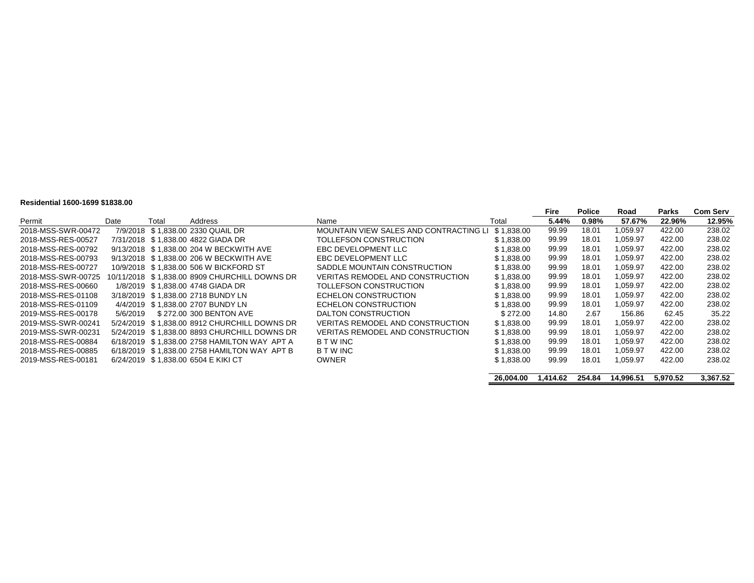#### **Residential 1600-1699 \$1838.00**

| סט.טטט ווערט די טטט וואוווסטונג |          |       |                                               |                                        |            |       |               |          |        |                 |
|---------------------------------|----------|-------|-----------------------------------------------|----------------------------------------|------------|-------|---------------|----------|--------|-----------------|
|                                 |          |       |                                               |                                        |            | Fire  | <b>Police</b> | Road     | Parks  | <b>Com Serv</b> |
| Permit                          | Date     | Total | Address                                       | Name                                   | Total      | 5.44% | 0.98%         | 57.67%   | 22.96% | 12.95%          |
| 2018-MSS-SWR-00472              |          |       | 7/9/2018 \$1.838.00 2330 QUAIL DR             | MOUNTAIN VIEW SALES AND CONTRACTING LI | \$1.838.00 | 99.99 | 18.01         | 1,059.97 | 422.00 | 238.02          |
| 2018-MSS-RES-00527              |          |       | 7/31/2018 \$1.838.00 4822 GIADA DR            | TOLLEFSON CONSTRUCTION                 | \$1,838.00 | 99.99 | 18.01         | 1,059.97 | 422.00 | 238.02          |
| 2018-MSS-RES-00792              |          |       | 9/13/2018 \$1.838.00 204 W BECKWITH AVE       | EBC DEVELOPMENT LLC                    | \$1,838.00 | 99.99 | 18.01         | 1,059.97 | 422.00 | 238.02          |
| 2018-MSS-RES-00793              |          |       | 9/13/2018 \$1.838.00 206 W BECKWITH AVE       | EBC DEVELOPMENT LLC                    | \$1,838.00 | 99.99 | 18.01         | 1,059.97 | 422.00 | 238.02          |
| 2018-MSS-RES-00727              |          |       | 10/9/2018 \$1.838.00 506 W BICKFORD ST        | SADDLE MOUNTAIN CONSTRUCTION           | \$1,838.00 | 99.99 | 18.01         | 1,059.97 | 422.00 | 238.02          |
| 2018-MSS-SWR-00725              |          |       | 10/11/2018 \$1.838.00 8909 CHURCHILL DOWNS DR | VERITAS REMODEL AND CONSTRUCTION       | \$1,838.00 | 99.99 | 18.01         | 1,059.97 | 422.00 | 238.02          |
| 2018-MSS-RES-00660              |          |       | 1/8/2019 \$1.838.00 4748 GIADA DR             | TOLLEFSON CONSTRUCTION                 | \$1,838.00 | 99.99 | 18.01         | 1,059.97 | 422.00 | 238.02          |
| 2018-MSS-RES-01108              |          |       | 3/18/2019 \$1.838.00 2718 BUNDY LN            | ECHELON CONSTRUCTION                   | \$1,838.00 | 99.99 | 18.01         | 1.059.97 | 422.00 | 238.02          |
| 2018-MSS-RES-01109              |          |       | 4/4/2019 \$1.838.00 2707 BUNDY LN             | ECHELON CONSTRUCTION                   | \$1,838.00 | 99.99 | 18.01         | 1,059.97 | 422.00 | 238.02          |
| 2019-MSS-RES-00178              | 5/6/2019 |       | \$272.00 300 BENTON AVE                       | DALTON CONSTRUCTION                    | \$272.00   | 14.80 | 2.67          | 156.86   | 62.45  | 35.22           |
| 2019-MSS-SWR-00241              |          |       | 5/24/2019 \$1.838.00 8912 CHURCHILL DOWNS DR  | VERITAS REMODEL AND CONSTRUCTION       | \$1,838.00 | 99.99 | 18.01         | 1,059.97 | 422.00 | 238.02          |
| 2019-MSS-SWR-00231              |          |       | 5/24/2019 \$1,838.00 8893 CHURCHILL DOWNS DR  | VERITAS REMODEL AND CONSTRUCTION       | \$1,838.00 | 99.99 | 18.01         | 1,059.97 | 422.00 | 238.02          |
| 2018-MSS-RES-00884              |          |       | 6/18/2019 \$1.838.00 2758 HAMILTON WAY APT A  | <b>BTWINC</b>                          | \$1,838.00 | 99.99 | 18.01         | 1,059.97 | 422.00 | 238.02          |
| 2018-MSS-RES-00885              |          |       | 6/18/2019 \$1,838.00 2758 HAMILTON WAY APT B  | <b>B T W INC</b>                       | \$1,838.00 | 99.99 | 18.01         | 1.059.97 | 422.00 | 238.02          |
| 2019-MSS-RES-00181              |          |       | 6/24/2019 \$1,838.00 6504 E KIKI CT           | <b>OWNER</b>                           | \$1,838.00 | 99.99 | 18.01         | 1,059.97 | 422.00 | 238.02          |
|                                 |          |       |                                               |                                        |            |       |               |          |        |                 |

**26,004.00 1,414.62 254.84 14,996.51 5,970.52 3,367.52**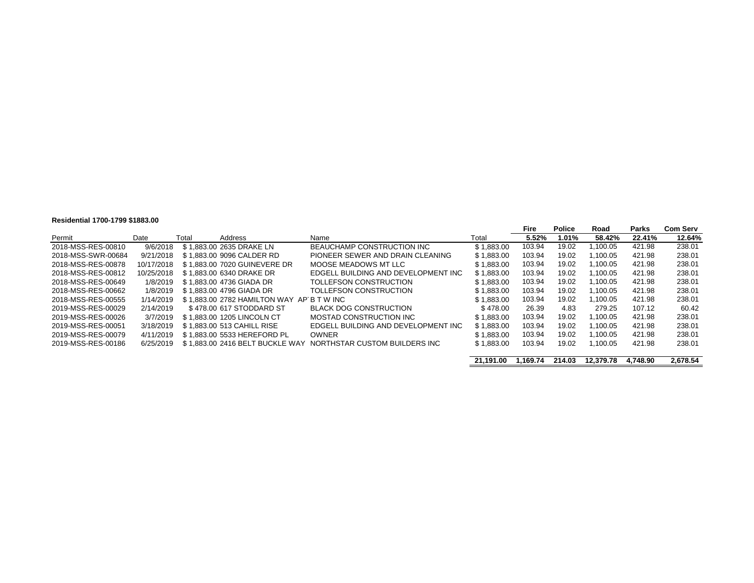#### **Residential 1700-1799 \$1883.00**

|                    |            |       |                                           |                                     |            | Fire   | <b>Police</b> | Road     | Parks  | Com Serv |
|--------------------|------------|-------|-------------------------------------------|-------------------------------------|------------|--------|---------------|----------|--------|----------|
| Permit             | Date       | Total | Address                                   | Name                                | Total      | 5.52%  | 1.01%         | 58.42%   | 22.41% | 12.64%   |
| 2018-MSS-RES-00810 | 9/6/2018   |       | \$1,883,00 2635 DRAKE LN                  | BEAUCHAMP CONSTRUCTION INC          | \$1.883.00 | 103.94 | 19.02         | .100.05  | 421.98 | 238.01   |
| 2018-MSS-SWR-00684 | 9/21/2018  |       | \$1.883.00 9096 CALDER RD                 | PIONEER SEWER AND DRAIN CLEANING    | \$1.883.00 | 103.94 | 19.02         | 1.100.05 | 421.98 | 238.01   |
| 2018-MSS-RES-00878 | 10/17/2018 |       | \$1.883.00 7020 GUINEVERE DR              | MOOSE MEADOWS MT LLC                | \$1.883.00 | 103.94 | 19.02         | 1.100.05 | 421.98 | 238.01   |
| 2018-MSS-RES-00812 | 10/25/2018 |       | \$1.883.00 6340 DRAKE DR                  | EDGELL BUILDING AND DEVELOPMENT INC | \$1.883.00 | 103.94 | 19.02         | 1.100.05 | 421.98 | 238.01   |
| 2018-MSS-RES-00649 | 1/8/2019   |       | \$1.883.00 4736 GIADA DR                  | TOLLEFSON CONSTRUCTION              | \$1.883.00 | 103.94 | 19.02         | 1.100.05 | 421.98 | 238.01   |
| 2018-MSS-RES-00662 | 1/8/2019   |       | \$1.883.00 4796 GIADA DR                  | TOLLEFSON CONSTRUCTION              | \$1.883.00 | 103.94 | 19.02         | 1.100.05 | 421.98 | 238.01   |
| 2018-MSS-RES-00555 | 1/14/2019  |       | \$1,883,00 2782 HAMILTON WAY AP B T W INC |                                     | \$1.883.00 | 103.94 | 19.02         | 1.100.05 | 421.98 | 238.01   |
| 2019-MSS-RES-00029 | 2/14/2019  |       | \$478.00 617 STODDARD ST                  | <b>BLACK DOG CONSTRUCTION</b>       | \$478.00   | 26.39  | 4.83          | 279.25   | 107.12 | 60.42    |
| 2019-MSS-RES-00026 | 3/7/2019   |       | \$1.883.00 1205 LINCOLN CT                | MOSTAD CONSTRUCTION INC             | \$1.883.00 | 103.94 | 19.02         | 1.100.05 | 421.98 | 238.01   |
| 2019-MSS-RES-00051 | 3/18/2019  |       | \$1.883.00 513 CAHILL RISE                | EDGELL BUILDING AND DEVELOPMENT INC | \$1.883.00 | 103.94 | 19.02         | 1.100.05 | 421.98 | 238.01   |
| 2019-MSS-RES-00079 | 4/11/2019  |       | \$1.883.00 5533 HEREFORD PL               | <b>OWNER</b>                        | \$1.883.00 | 103.94 | 19.02         | 1.100.05 | 421.98 | 238.01   |
| 2019-MSS-RES-00186 | 6/25/2019  |       | \$1.883.00 2416 BELT BUCKLE WAY           | NORTHSTAR CUSTOM BUILDERS INC       | \$1,883.00 | 103.94 | 19.02         | 1.100.05 | 421.98 | 238.01   |
|                    |            |       |                                           |                                     |            |        |               |          |        |          |

**21,191.00 1,169.74 214.03 12,379.78 4,748.90 2,678.54**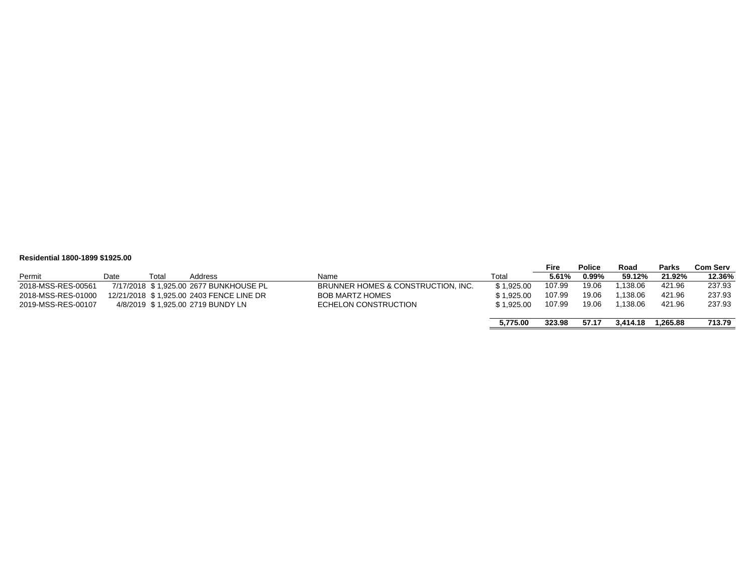#### **Residential 1800-1899 \$1925.00**

|                    |      |       |                                          |                                    |            | <b>Fire</b> | <b>Police</b> | Road     | <b>Parks</b> | <b>Com Serv</b> |
|--------------------|------|-------|------------------------------------------|------------------------------------|------------|-------------|---------------|----------|--------------|-----------------|
| Permit             | Date | Total | Address                                  | Name                               | Total      | 5.61%       | $0.99\%$      | 59.12%   | 21.92%       | 12.36%          |
| 2018-MSS-RES-00561 |      |       | 7/17/2018 \$1.925.00 2677 BUNKHOUSE PL   | BRUNNER HOMES & CONSTRUCTION, INC. | \$1.925.00 | 107.99      | 19.06         | .138.06  | 421.96       | 237.93          |
| 2018-MSS-RES-01000 |      |       | 12/21/2018 \$1.925.00 2403 FENCE LINE DR | <b>BOB MARTZ HOMES</b>             | \$1.925.00 | 107.99      | 19.06         | .138.06  | 421.96       | 237.93          |
| 2019-MSS-RES-00107 |      |       | 4/8/2019 \$1.925.00 2719 BUNDY LN        | ECHELON CONSTRUCTION               | \$1.925.00 | 107.99      | 19.06         | .138.06  | 421.96       | 237.93          |
|                    |      |       |                                          |                                    |            |             |               |          |              |                 |
|                    |      |       |                                          |                                    | 5.775.00   | 323.98      | 57.17         | 3.414.18 | 1.265.88     | 713.79          |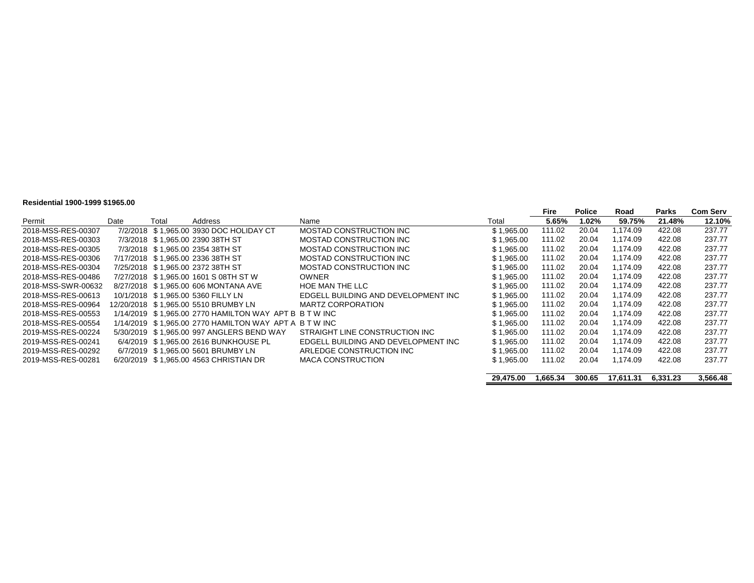#### **Residential 1900-1999 \$1965.00**

| 1169146111141 1900-1999 \$1909.00 |      |       |                                                        |                                     |            |        |               |          |        |                 |
|-----------------------------------|------|-------|--------------------------------------------------------|-------------------------------------|------------|--------|---------------|----------|--------|-----------------|
|                                   |      |       |                                                        |                                     |            | Fire   | <b>Police</b> | Road     | Parks  | <b>Com Serv</b> |
| Permit                            | Date | Total | Address                                                | Name                                | Total      | 5.65%  | 1.02%         | 59.75%   | 21.48% | 12.10%          |
| 2018-MSS-RES-00307                |      |       | 7/2/2018 \$1.965.00 3930 DOC HOLIDAY CT                | MOSTAD CONSTRUCTION INC             | \$1.965.00 | 111.02 | 20.04         | 1.174.09 | 422.08 | 237.77          |
| 2018-MSS-RES-00303                |      |       | 7/3/2018 \$1.965.00 2390 38TH ST                       | MOSTAD CONSTRUCTION INC             | \$1.965.00 | 111.02 | 20.04         | 1.174.09 | 422.08 | 237.77          |
| 2018-MSS-RES-00305                |      |       | 7/3/2018 \$1.965.00 2354 38TH ST                       | MOSTAD CONSTRUCTION INC             | \$1.965.00 | 111.02 | 20.04         | 1,174.09 | 422.08 | 237.77          |
| 2018-MSS-RES-00306                |      |       | 7/17/2018 \$1.965.00 2336 38TH ST                      | MOSTAD CONSTRUCTION INC             | \$1.965.00 | 111.02 | 20.04         | 1.174.09 | 422.08 | 237.77          |
| 2018-MSS-RES-00304                |      |       | 7/25/2018 \$1.965.00 2372 38TH ST                      | MOSTAD CONSTRUCTION INC             | \$1.965.00 | 111.02 | 20.04         | 1.174.09 | 422.08 | 237.77          |
| 2018-MSS-RES-00486                |      |       | 7/27/2018 \$1.965.00 1601 S 08TH ST W                  | <b>OWNER</b>                        | \$1.965.00 | 111.02 | 20.04         | 1.174.09 | 422.08 | 237.77          |
| 2018-MSS-SWR-00632                |      |       | 8/27/2018 \$1.965.00 606 MONTANA AVE                   | HOE MAN THE LLC                     | \$1.965.00 | 111.02 | 20.04         | 1.174.09 | 422.08 | 237.77          |
| 2018-MSS-RES-00613                |      |       | 10/1/2018 \$1.965.00 5360 FILLY LN                     | EDGELL BUILDING AND DEVELOPMENT INC | \$1.965.00 | 111.02 | 20.04         | 1.174.09 | 422.08 | 237.77          |
| 2018-MSS-RES-00964                |      |       |                                                        | <b>MARTZ CORPORATION</b>            | \$1.965.00 | 111.02 | 20.04         | 1.174.09 | 422.08 | 237.77          |
| 2018-MSS-RES-00553                |      |       | 1/14/2019 \$1.965.00 2770 HAMILTON WAY APT B B T W INC |                                     | \$1.965.00 | 111.02 | 20.04         | 1.174.09 | 422.08 | 237.77          |
| 2018-MSS-RES-00554                |      |       | 1/14/2019 \$1,965.00 2770 HAMILTON WAY APT A B T W INC |                                     | \$1.965.00 | 111.02 | 20.04         | 1.174.09 | 422.08 | 237.77          |
| 2019-MSS-RES-00224                |      |       | 5/30/2019 \$1.965.00 997 ANGLERS BEND WAY              | STRAIGHT LINE CONSTRUCTION INC      | \$1.965.00 | 111.02 | 20.04         | 1.174.09 | 422.08 | 237.77          |
| 2019-MSS-RES-00241                |      |       | 6/4/2019 \$1.965.00 2616 BUNKHOUSE PL                  | EDGELL BUILDING AND DEVELOPMENT INC | \$1.965.00 | 111.02 | 20.04         | 1.174.09 | 422.08 | 237.77          |
| 2019-MSS-RES-00292                |      |       | 6/7/2019 \$1.965.00 5601 BRUMBY LN                     | ARLEDGE CONSTRUCTION INC            | \$1.965.00 | 111.02 | 20.04         | 1,174.09 | 422.08 | 237.77          |
| 2019-MSS-RES-00281                |      |       | 6/20/2019 \$1.965.00 4563 CHRISTIAN DR                 | <b>MACA CONSTRUCTION</b>            | \$1,965.00 | 111.02 | 20.04         | 1,174.09 | 422.08 | 237.77          |
|                                   |      |       |                                                        |                                     |            |        |               |          |        |                 |

**29,475.00 1,665.34 300.65 17,611.31 6,331.23 3,566.48**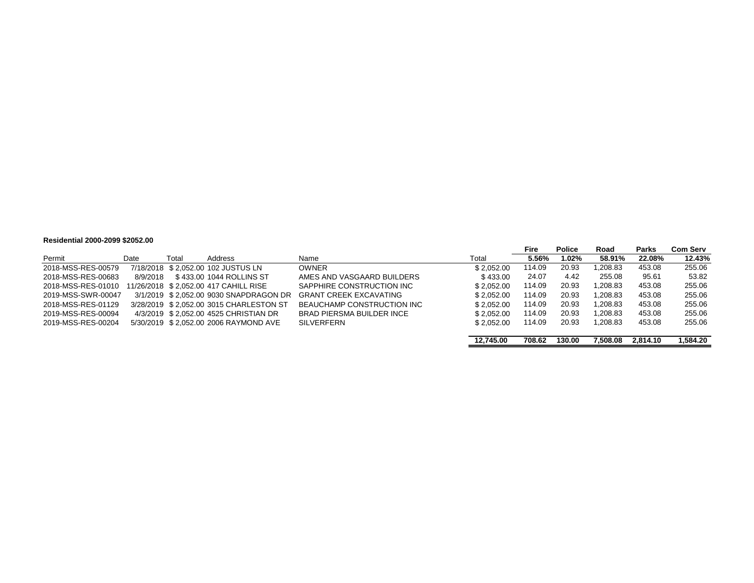#### **Residential 2000-2099 \$2052.00**

|                    |          |       |                                         |                                  |            | Fire   | <b>Police</b> | Road     | Parks    | Com Serv |
|--------------------|----------|-------|-----------------------------------------|----------------------------------|------------|--------|---------------|----------|----------|----------|
| Permit             | Date     | Total | Address                                 | Name                             | Total      | 5.56%  | 1.02%         | 58.91%   | 22.08%   | 12.43%   |
| 2018-MSS-RES-00579 |          |       | 7/18/2018 \$2.052.00 102 JUSTUS LN      | <b>OWNER</b>                     | \$2.052.00 | 114.09 | 20.93         | 1.208.83 | 453.08   | 255.06   |
| 2018-MSS-RES-00683 | 8/9/2018 |       | \$433.00 1044 ROLLINS ST                | AMES AND VASGAARD BUILDERS       | \$433.00   | 24.07  | 4.42          | 255.08   | 95.61    | 53.82    |
| 2018-MSS-RES-01010 |          |       | 11/26/2018 \$2.052.00 417 CAHILL RISE   | SAPPHIRE CONSTRUCTION INC        | \$2.052.00 | 114.09 | 20.93         | 1.208.83 | 453.08   | 255.06   |
| 2019-MSS-SWR-00047 |          |       | 3/1/2019 \$2.052.00 9030 SNAPDRAGON DR  | <b>GRANT CREEK EXCAVATING</b>    | \$2.052.00 | 114.09 | 20.93         | 1.208.83 | 453.08   | 255.06   |
| 2018-MSS-RES-01129 |          |       | 3/28/2019 \$2.052.00 3015 CHARLESTON ST | BEAUCHAMP CONSTRUCTION INC       | \$2.052.00 | 114.09 | 20.93         | 1.208.83 | 453.08   | 255.06   |
| 2019-MSS-RES-00094 |          |       | 4/3/2019 \$2.052.00 4525 CHRISTIAN DR   | <b>BRAD PIERSMA BUILDER INCE</b> | \$2.052.00 | 114.09 | 20.93         | 1.208.83 | 453.08   | 255.06   |
| 2019-MSS-RES-00204 |          |       | 5/30/2019 \$2.052.00 2006 RAYMOND AVE   | <b>SILVERFERN</b>                | \$2.052.00 | 114.09 | 20.93         | 1.208.83 | 453.08   | 255.06   |
|                    |          |       |                                         |                                  |            |        |               |          |          |          |
|                    |          |       |                                         |                                  | 12.745.00  | 708.62 | 130.00        | 7.508.08 | 2.814.10 | 1.584.20 |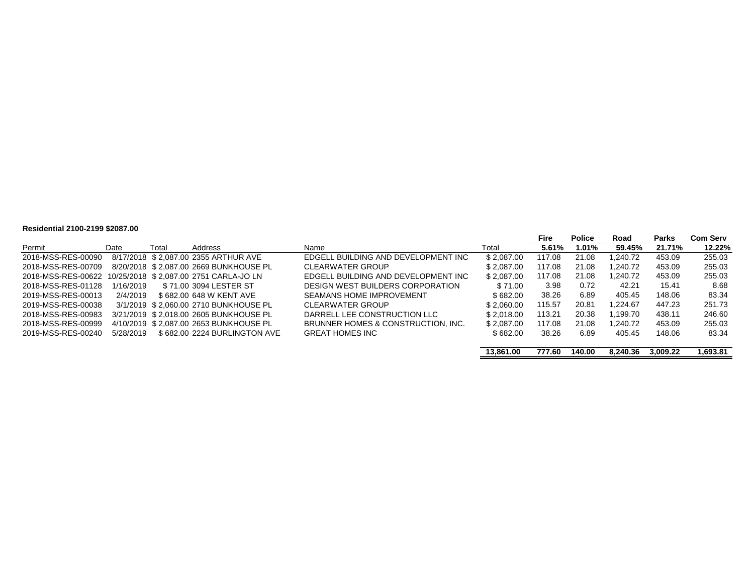#### **Residential 2100-2199 \$2087.00**

|                    |           |       |                                        |                                     |            | Fire   | <b>Police</b> | Road     | <b>Parks</b> | <b>Com Serv</b> |
|--------------------|-----------|-------|----------------------------------------|-------------------------------------|------------|--------|---------------|----------|--------------|-----------------|
| Permit             | Date      | Total | Address                                | Name                                | Total      | 5.61%  | 1.01%         | 59.45%   | 21.71%       | 12.22%          |
| 2018-MSS-RES-00090 |           |       | 8/17/2018 \$2.087.00 2355 ARTHUR AVE   | EDGELL BUILDING AND DEVELOPMENT INC | \$2.087.00 | 117.08 | 21.08         | .240.72  | 453.09       | 255.03          |
| 2018-MSS-RES-00709 |           |       | 8/20/2018 \$2.087.00 2669 BUNKHOUSE PL | CLEARWATER GROUP                    | \$2.087.00 | 117.08 | 21.08         | 1.240.72 | 453.09       | 255.03          |
| 2018-MSS-RES-00622 |           |       | 10/25/2018 \$2.087.00 2751 CARLA-JO LN | EDGELL BUILDING AND DEVELOPMENT INC | \$2.087.00 | 117.08 | 21.08         | 1.240.72 | 453.09       | 255.03          |
| 2018-MSS-RES-01128 | 1/16/2019 |       | \$71.00 3094 LESTER ST                 | DESIGN WEST BUILDERS CORPORATION    | \$71.00    | 3.98   | 0.72          | 42.21    | 15.41        | 8.68            |
| 2019-MSS-RES-00013 | 2/4/2019  |       | \$682.00 648 W KENT AVE                | <b>SEAMANS HOME IMPROVEMENT</b>     | \$682.00   | 38.26  | 6.89          | 405.45   | 148.06       | 83.34           |
| 2019-MSS-RES-00038 |           |       | 3/1/2019 \$2.060.00 2710 BUNKHOUSE PL  | <b>CLEARWATER GROUP</b>             | \$2.060.00 | 115.57 | 20.81         | 1.224.67 | 447.23       | 251.73          |
| 2018-MSS-RES-00983 |           |       | 3/21/2019 \$2.018.00 2605 BUNKHOUSE PL | DARRELL LEE CONSTRUCTION LLC        | \$2.018.00 | 113.21 | 20.38         | 1.199.70 | 438.11       | 246.60          |
| 2018-MSS-RES-00999 |           |       | 4/10/2019 \$2.087.00 2653 BUNKHOUSE PL | BRUNNER HOMES & CONSTRUCTION. INC.  | \$2.087.00 | 117.08 | 21.08         | 1.240.72 | 453.09       | 255.03          |
| 2019-MSS-RES-00240 | 5/28/2019 |       | \$682.00 2224 BURLINGTON AVE           | <b>GREAT HOMES INC</b>              | \$682.00   | 38.26  | 6.89          | 405.45   | 148.06       | 83.34           |
|                    |           |       |                                        |                                     | 13.861.00  | 777.60 | 140.00        | 8.240.36 | 3.009.22     | 1.693.81        |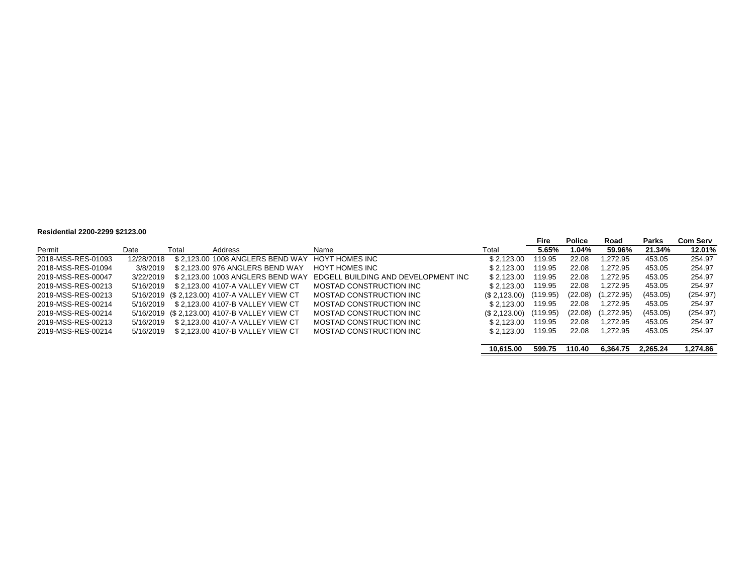#### **Residential 2200-2299 \$2123.00**

|                    |            |       |                                              |                                     |              | Fire     | <b>Police</b> | Road       | <b>Parks</b> | <b>Com Serv</b> |
|--------------------|------------|-------|----------------------------------------------|-------------------------------------|--------------|----------|---------------|------------|--------------|-----------------|
| Permit             | Date       | Total | Address                                      | Name                                | Total        | 5.65%    | 1.04%         | 59.96%     | 21.34%       | 12.01%          |
| 2018-MSS-RES-01093 | 12/28/2018 |       | \$2.123.00 1008 ANGLERS BEND WAY             | HOYT HOMES INC                      | \$2.123.00   | 119.95   | 22.08         | .272.95    | 453.05       | 254.97          |
| 2018-MSS-RES-01094 | 3/8/2019   |       | \$2.123.00 976 ANGLERS BEND WAY              | HOYT HOMES INC                      | \$2.123.00   | 119.95   | 22.08         | 1.272.95   | 453.05       | 254.97          |
| 2019-MSS-RES-00047 | 3/22/2019  |       | \$2.123.00 1003 ANGLERS BEND WAY             | EDGELL BUILDING AND DEVELOPMENT INC | \$2.123.00   | 119.95   | 22.08         | 1.272.95   | 453.05       | 254.97          |
| 2019-MSS-RES-00213 | 5/16/2019  |       | \$ 2.123.00 4107-A VALLEY VIEW CT            | MOSTAD CONSTRUCTION INC             | \$2.123.00   | 119.95   | 22.08         | 1.272.95   | 453.05       | 254.97          |
| 2019-MSS-RES-00213 |            |       | 5/16/2019 (\$2,123.00) 4107-A VALLEY VIEW CT | MOSTAD CONSTRUCTION INC             | (S.2.123.00) | (119.95) | (22.08)       | (1,272.95) | (453.05)     | (254.97)        |
| 2019-MSS-RES-00214 | 5/16/2019  |       | \$2.123.00 4107-B VALLEY VIEW CT             | MOSTAD CONSTRUCTION INC             | \$2.123.00   | 119.95   | 22.08         | 1.272.95   | 453.05       | 254.97          |
| 2019-MSS-RES-00214 |            |       | 5/16/2019 (\$2.123.00) 4107-B VALLEY VIEW CT | MOSTAD CONSTRUCTION INC             | (S.2.123.00) | (119.95) | (22.08)       | (1,272.95) | (453.05)     | (254.97)        |
| 2019-MSS-RES-00213 | 5/16/2019  |       | \$2.123.00 4107-A VALLEY VIEW CT             | MOSTAD CONSTRUCTION INC             | \$2.123.00   | 119.95   | 22.08         | 1.272.95   | 453.05       | 254.97          |
| 2019-MSS-RES-00214 | 5/16/2019  |       | \$2.123.00 4107-B VALLEY VIEW CT             | MOSTAD CONSTRUCTION INC             | \$2.123.00   | 119.95   | 22.08         | 1.272.95   | 453.05       | 254.97          |
|                    |            |       |                                              |                                     |              |          |               |            |              |                 |
|                    |            |       |                                              |                                     | 10.615.00    | 599.75   | 110.40        | 6.364.75   | 2.265.24     | 1,274.86        |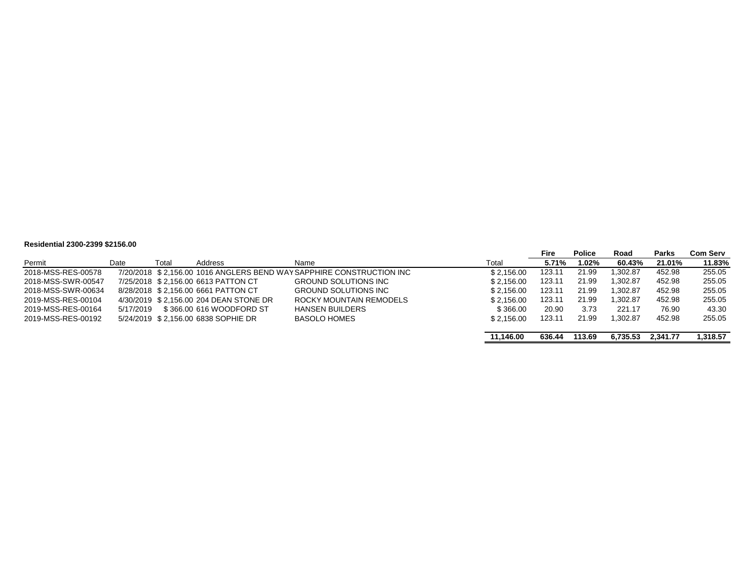#### **Residential 2300-2399 \$2156.00**

|                    |           |       |                                        |                                                                      |            | <b>Fire</b> | <b>Police</b> | Road     | <b>Parks</b> | <b>Com Serv</b> |
|--------------------|-----------|-------|----------------------------------------|----------------------------------------------------------------------|------------|-------------|---------------|----------|--------------|-----------------|
| Permit             | Date      | Total | Address                                | Name                                                                 | Total      | 5.71%       | 1.02%         | 60.43%   | 21.01%       | 11.83%          |
| 2018-MSS-RES-00578 |           |       |                                        | 7/20/2018 \$2.156.00 1016 ANGLERS BEND WAY SAPPHIRE CONSTRUCTION INC | \$2.156.00 | 123.11      | 21.99         | .302.87  | 452.98       | 255.05          |
| 2018-MSS-SWR-00547 |           |       | 7/25/2018 \$2.156.00 6613 PATTON CT    | <b>GROUND SOLUTIONS INC</b>                                          | \$2.156.00 | 123.11      | 21.99         | ,302.87  | 452.98       | 255.05          |
| 2018-MSS-SWR-00634 |           |       | 8/28/2018 \$2.156.00 6661 PATTON CT    | <b>GROUND SOLUTIONS INC</b>                                          | \$2.156.00 | 123.11      | 21.99         | ,302.87  | 452.98       | 255.05          |
| 2019-MSS-RES-00104 |           |       | 4/30/2019 \$2.156.00 204 DEAN STONE DR | ROCKY MOUNTAIN REMODELS                                              | \$2.156.00 | 123.11      | 21.99         | .302.87  | 452.98       | 255.05          |
| 2019-MSS-RES-00164 | 5/17/2019 |       | \$366.00 616 WOODFORD ST               | <b>HANSEN BUILDERS</b>                                               | \$366.00   | 20.90       | 3.73          | 221.17   | 76.90        | 43.30           |
| 2019-MSS-RES-00192 |           |       | 5/24/2019 \$2.156.00 6838 SOPHIE DR    | <b>BASOLO HOMES</b>                                                  | \$2.156.00 | 123.11      | 21.99         | ,302.87  | 452.98       | 255.05          |
|                    |           |       |                                        |                                                                      |            |             |               |          |              |                 |
|                    |           |       |                                        |                                                                      | 11.146.00  | 636.44      | 113.69        | 6.735.53 | 2.341.77     | 1.318.57        |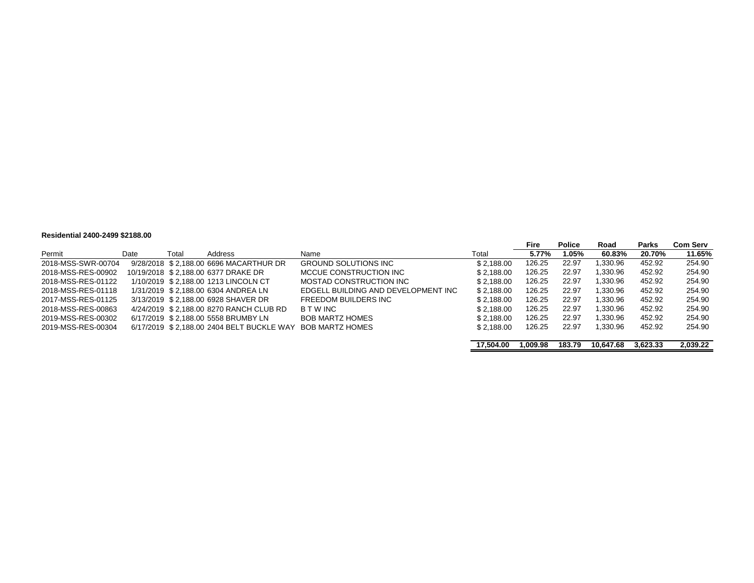#### **Residential 2400-2499 \$2188.00**

| 1169146111141 <del>21</del> 00- <del>21</del> 00 92100.00 |      |       |                                           |                                     |            |          |               |           |          |          |
|-----------------------------------------------------------|------|-------|-------------------------------------------|-------------------------------------|------------|----------|---------------|-----------|----------|----------|
|                                                           |      |       |                                           |                                     |            | Fire     | <b>Police</b> | Road      | Parks    | Com Serv |
| Permit                                                    | Date | Total | Address                                   | Name                                | Total      | 5.77%    | 1.05%         | 60.83%    | 20.70%   | 11.65%   |
| 2018-MSS-SWR-00704                                        |      |       | 9/28/2018 \$2,188.00 6696 MACARTHUR DR    | <b>GROUND SOLUTIONS INC</b>         | \$2.188.00 | 126.25   | 22.97         | .330.96   | 452.92   | 254.90   |
| 2018-MSS-RES-00902                                        |      |       | 10/19/2018 \$2.188.00 6377 DRAKE DR       | MCCUE CONSTRUCTION INC              | \$2.188.00 | 126.25   | 22.97         | .330.96   | 452.92   | 254.90   |
| 2018-MSS-RES-01122                                        |      |       | 1/10/2019 \$2.188.00 1213 LINCOLN CT      | MOSTAD CONSTRUCTION INC             | \$2.188.00 | 126.25   | 22.97         | 1.330.96  | 452.92   | 254.90   |
| 2018-MSS-RES-01118                                        |      |       | 1/31/2019 \$2,188.00 6304 ANDREA LN       | EDGELL BUILDING AND DEVELOPMENT INC | \$2.188.00 | 126.25   | 22.97         | 1.330.96  | 452.92   | 254.90   |
| 2017-MSS-RES-01125                                        |      |       | 3/13/2019 \$2.188.00 6928 SHAVER DR       | FREEDOM BUILDERS INC                | \$2.188.00 | 126.25   | 22.97         | .330.96   | 452.92   | 254.90   |
| 2018-MSS-RES-00863                                        |      |       | 4/24/2019 \$2,188.00 8270 RANCH CLUB RD   | B T W INC                           | \$2.188.00 | 126.25   | 22.97         | 1.330.96  | 452.92   | 254.90   |
| 2019-MSS-RES-00302                                        |      |       | 6/17/2019 \$2.188.00 5558 BRUMBY LN       | <b>BOB MARTZ HOMES</b>              | \$2.188.00 | 126.25   | 22.97         | 1.330.96  | 452.92   | 254.90   |
| 2019-MSS-RES-00304                                        |      |       | 6/17/2019 \$2.188.00 2404 BELT BUCKLE WAY | <b>BOB MARTZ HOMES</b>              | \$2.188.00 | 126.25   | 22.97         | 1,330.96  | 452.92   | 254.90   |
|                                                           |      |       |                                           |                                     | 17.504.00  | 1.009.98 | 183.79        | 10.647.68 | 3.623.33 | 2,039.22 |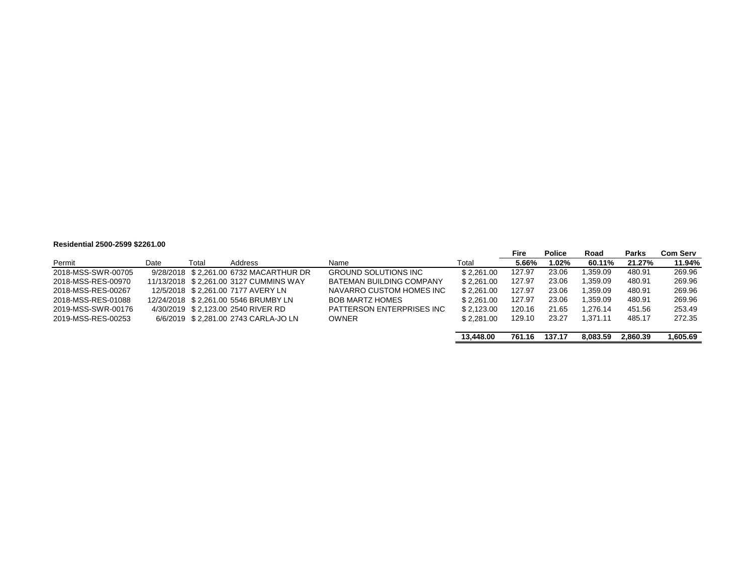#### **Residential 2500-2599 \$2261.00**

|                    |      |       |                                        |                                 |            | Fire   | <b>Police</b> | Road     | Parks    | <b>Com Serv</b> |
|--------------------|------|-------|----------------------------------------|---------------------------------|------------|--------|---------------|----------|----------|-----------------|
| Permit             | Date | Total | Address                                | Name                            | Total      | 5.66%  | 1.02%         | 60.11%   | 21.27%   | 11.94%          |
| 2018-MSS-SWR-00705 |      |       | 9/28/2018 \$2.261.00 6732 MACARTHUR DR | <b>GROUND SOLUTIONS INC</b>     | \$2.261.00 | 127.97 | 23.06         | .359.09  | 480.91   | 269.96          |
| 2018-MSS-RES-00970 |      |       | 11/13/2018 \$2.261.00 3127 CUMMINS WAY | <b>BATEMAN BUILDING COMPANY</b> | \$2.261.00 | 127.97 | 23.06         | 1.359.09 | 480.91   | 269.96          |
| 2018-MSS-RES-00267 |      |       | 12/5/2018 \$2.261.00 7177 AVERY LN     | NAVARRO CUSTOM HOMES INC        | \$2.261.00 | 127.97 | 23.06         | .359.09  | 480.91   | 269.96          |
| 2018-MSS-RES-01088 |      |       | 12/24/2018 \$2.261.00 5546 BRUMBY LN   | <b>BOB MARTZ HOMES</b>          | \$2.261.00 | 127.97 | 23.06         | .359.09  | 480.91   | 269.96          |
| 2019-MSS-SWR-00176 |      |       | 4/30/2019 \$2.123.00 2540 RIVER RD     | PATTERSON ENTERPRISES INC       | \$2.123.00 | 120.16 | 21.65         | 1.276.14 | 451.56   | 253.49          |
| 2019-MSS-RES-00253 |      |       | 6/6/2019 \$2.281.00 2743 CARLA-JO LN   | <b>OWNER</b>                    | \$2.281.00 | 129.10 | 23.27         | 1.371.11 | 485.17   | 272.35          |
|                    |      |       |                                        |                                 | 13,448,00  | 761.16 | 137.17        | 8.083.59 | 2.860.39 | 1,605.69        |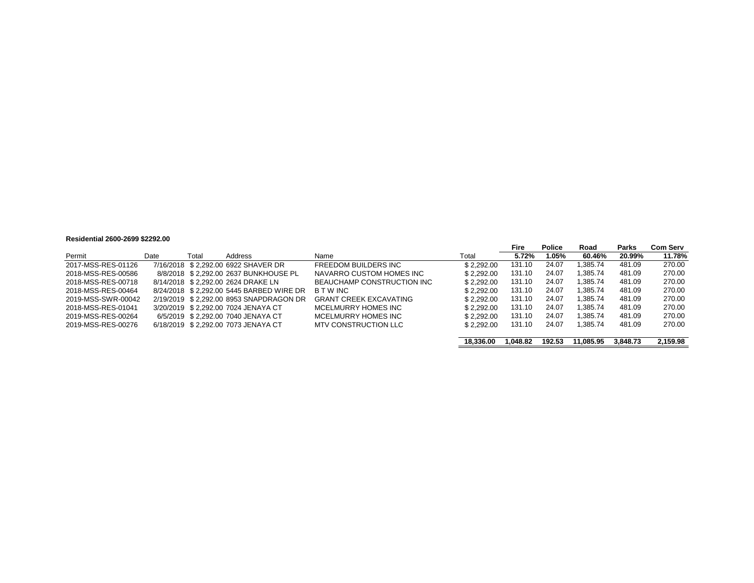#### **Residential 2600-2699 \$2292.00**

|                    |      |       |                                          |                               |            | Fire     | <b>Police</b> | Road      | Parks    | <b>Com Serv</b> |
|--------------------|------|-------|------------------------------------------|-------------------------------|------------|----------|---------------|-----------|----------|-----------------|
| Permit             | Date | Total | Address                                  | Name                          | Total      | 5.72%    | 1.05%         | 60.46%    | 20.99%   | 11.78%          |
| 2017-MSS-RES-01126 |      |       | 7/16/2018 \$2.292.00 6922 SHAVER DR      | FREEDOM BUILDERS INC          | \$2.292.00 | 131.10   | 24.07         | .385.74   | 481.09   | 270.00          |
| 2018-MSS-RES-00586 |      |       | 8/8/2018 \$2.292.00 2637 BUNKHOUSE PL    | NAVARRO CUSTOM HOMES INC      | \$2.292.00 | 131.10   | 24.07         | .385.74   | 481.09   | 270.00          |
| 2018-MSS-RES-00718 |      |       | 8/14/2018 \$2.292.00 2624 DRAKE LN       | BEAUCHAMP CONSTRUCTION INC    | \$2.292.00 | 131.10   | 24.07         | .385.74   | 481.09   | 270.00          |
| 2018-MSS-RES-00464 |      |       | 8/24/2018 \$2.292.00 5445 BARBED WIRE DR | <b>BTWINC</b>                 | \$2.292.00 | 131.10   | 24.07         | .385.74   | 481.09   | 270.00          |
| 2019-MSS-SWR-00042 |      |       | 2/19/2019 \$2.292.00 8953 SNAPDRAGON DR  | <b>GRANT CREEK EXCAVATING</b> | \$2.292.00 | 131.10   | 24.07         | .385.74   | 481.09   | 270.00          |
| 2018-MSS-RES-01041 |      |       | 3/20/2019 \$2.292.00 7024 JENAYA CT      | MCELMURRY HOMES INC           | \$2.292.00 | 131.10   | 24.07         | .385.74   | 481.09   | 270.00          |
| 2019-MSS-RES-00264 |      |       | 6/5/2019 \$2,292.00 7040 JENAYA CT       | MCELMURRY HOMES INC           | \$2.292.00 | 131.10   | 24.07         | .385.74   | 481.09   | 270.00          |
| 2019-MSS-RES-00276 |      |       | 6/18/2019 \$2.292.00 7073 JENAYA CT      | MTV CONSTRUCTION LLC          | \$2.292.00 | 131.10   | 24.07         | .385.74   | 481.09   | 270.00          |
|                    |      |       |                                          |                               | 18.336.00  | 1.048.82 | 192.53        | 11.085.95 | 3.848.73 | 2.159.98        |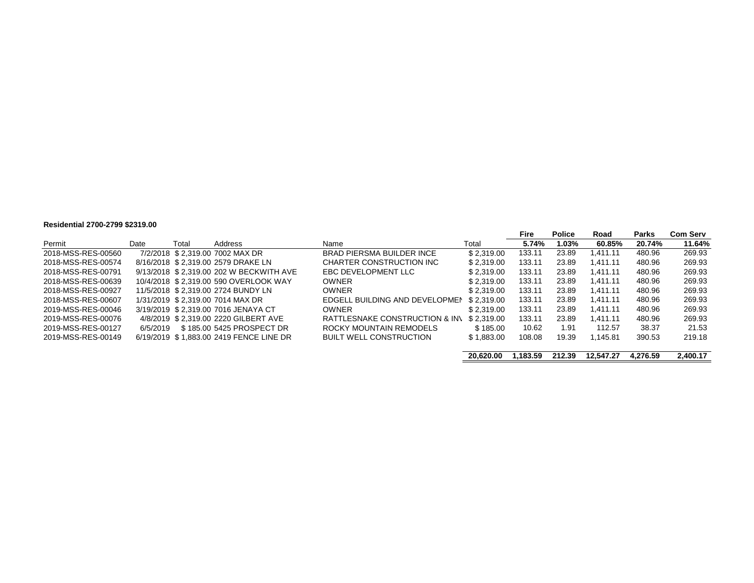#### **Residential 2700-2799 \$2319.00**

|                    |          |       |                                         |                                  |            | Fire     | Police | Road      | Parks    | <b>Com Serv</b> |
|--------------------|----------|-------|-----------------------------------------|----------------------------------|------------|----------|--------|-----------|----------|-----------------|
| Permit             | Date     | Total | Address                                 | Name                             | Total      | 5.74%    | 1.03%  | 60.85%    | 20.74%   | 11.64%          |
| 2018-MSS-RES-00560 |          |       | 7/2/2018 \$2.319.00 7002 MAX DR         | <b>BRAD PIERSMA BUILDER INCE</b> | \$2.319.00 | 133.11   | 23.89  | 1.411.11  | 480.96   | 269.93          |
| 2018-MSS-RES-00574 |          |       | 8/16/2018 \$2.319.00 2579 DRAKE LN      | CHARTER CONSTRUCTION INC         | \$2.319.00 | 133.11   | 23.89  | 1.411.11  | 480.96   | 269.93          |
| 2018-MSS-RES-00791 |          |       | 9/13/2018 \$2.319.00 202 W BECKWITH AVE | EBC DEVELOPMENT LLC              | \$2.319.00 | 133.11   | 23.89  | 1.411.11  | 480.96   | 269.93          |
| 2018-MSS-RES-00639 |          |       | 10/4/2018 \$2.319.00 590 OVERLOOK WAY   | <b>OWNER</b>                     | \$2.319.00 | 133.11   | 23.89  | 1.411.11  | 480.96   | 269.93          |
| 2018-MSS-RES-00927 |          |       | 11/5/2018 \$2.319.00 2724 BUNDY LN      | <b>OWNER</b>                     | \$2.319.00 | 133.11   | 23.89  | 1.411.11  | 480.96   | 269.93          |
| 2018-MSS-RES-00607 |          |       | 1/31/2019 \$2.319.00 7014 MAX DR        | EDGELL BUILDING AND DEVELOPMEN   | \$2.319.00 | 133.11   | 23.89  | 1.411.11  | 480.96   | 269.93          |
| 2019-MSS-RES-00046 |          |       | 3/19/2019 \$2.319.00 7016 JENAYA CT     | <b>OWNER</b>                     | \$2.319.00 | 133.11   | 23.89  | 1.411.11  | 480.96   | 269.93          |
| 2019-MSS-RES-00076 |          |       | 4/8/2019 \$2.319.00 2220 GILBERT AVE    | RATTLESNAKE CONSTRUCTION & INV   | \$2.319.00 | 133.11   | 23.89  | 1.411.11  | 480.96   | 269.93          |
| 2019-MSS-RES-00127 | 6/5/2019 |       | \$185,00 5425 PROSPECT DR               | ROCKY MOUNTAIN REMODELS          | \$185.00   | 10.62    | 1.91   | 112.57    | 38.37    | 21.53           |
| 2019-MSS-RES-00149 |          |       | 6/19/2019 \$1,883.00 2419 FENCE LINE DR | <b>BUILT WELL CONSTRUCTION</b>   | \$1,883.00 | 108.08   | 19.39  | 1.145.81  | 390.53   | 219.18          |
|                    |          |       |                                         |                                  |            |          |        |           |          |                 |
|                    |          |       |                                         |                                  | 20.620.00  | 1.183.59 | 212.39 | 12.547.27 | 4.276.59 | 2,400.17        |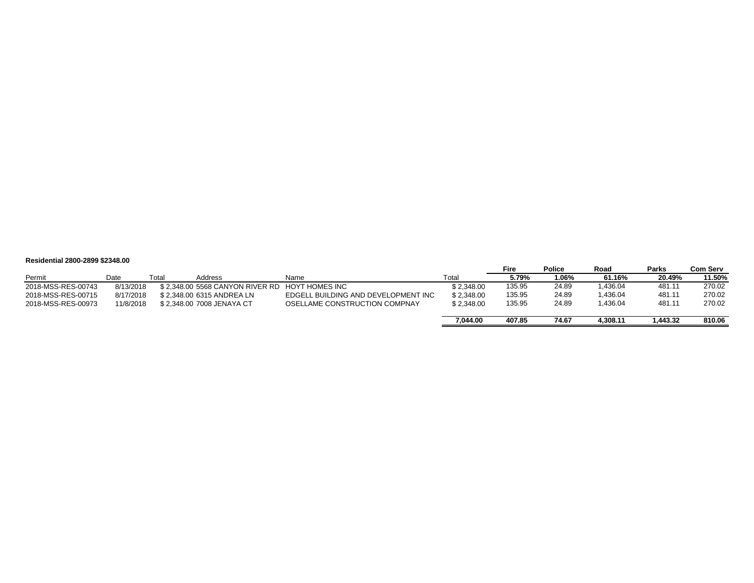#### **Residential 2800-2899 \$2348.00**

|                    |           |       |                                  |                                     |            | Fire   | <b>Police</b> | Road     | <b>Parks</b> | Com Serv |
|--------------------|-----------|-------|----------------------------------|-------------------------------------|------------|--------|---------------|----------|--------------|----------|
| Permit             | Date      | Γotal | Address                          | Name                                | Total      | 5.79%  | 1.06%         | 61.16%   | 20.49%       | 11.50%   |
| 2018-MSS-RES-00743 | 8/13/2018 |       | \$ 2.348.00 5568 CANYON RIVER RD | HOYT HOMES INC                      | \$2.348.00 | 135.95 | 24.89         | 1.436.04 | 481.11       | 270.02   |
| 2018-MSS-RES-00715 | 8/17/2018 |       | \$2.348.00 6315 ANDREA LN        | EDGELL BUILDING AND DEVELOPMENT INC | \$2.348.00 | 135.95 | 24.89         | 1.436.04 | 481.11       | 270.02   |
| 2018-MSS-RES-00973 | 11/8/2018 |       | \$2.348.00 7008 JENAYA CT        | OSELLAME CONSTRUCTION COMPNAY       | \$2.348.00 | 135.95 | 24.89         | 1.436.04 | 481.11       | 270.02   |
|                    |           |       |                                  |                                     | 7.044.00   | 407.85 | 74.67         | 4.308.11 | 1.443.32     | 810.06   |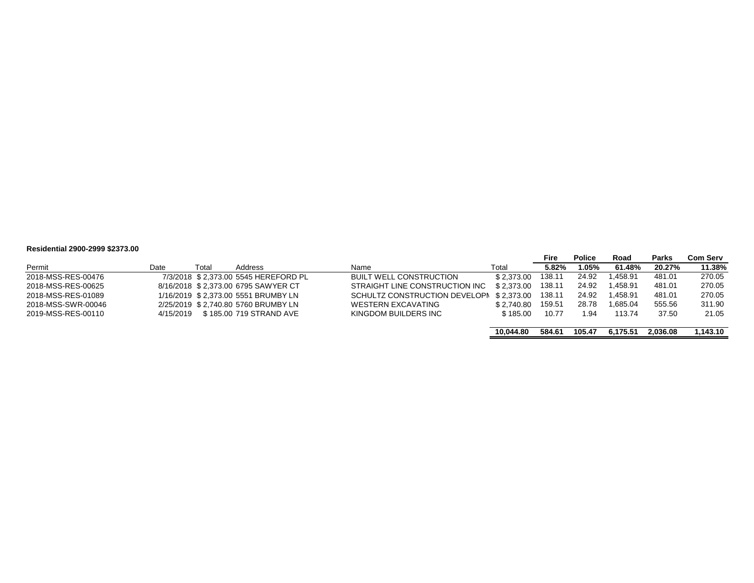#### **Residential 2900-2999 \$2373.00**

|      |       |           |                                                                                                                                                                                      |            | Fire                          | <b>Police</b> | Road      | <b>Parks</b> | Com Serv |
|------|-------|-----------|--------------------------------------------------------------------------------------------------------------------------------------------------------------------------------------|------------|-------------------------------|---------------|-----------|--------------|----------|
| Date | Total | Address   | Name                                                                                                                                                                                 | Total      | 5.82%                         | 1.05%         | 61.48%    | 20.27%       | 11.38%   |
|      |       |           | <b>BUILT WELL CONSTRUCTION</b>                                                                                                                                                       | \$2.373.00 | 138.11                        | 24.92         | l.458.91  | 481.01       | 270.05   |
|      |       |           | STRAIGHT LINE CONSTRUCTION INC                                                                                                                                                       | \$2.373.00 | 138.11                        | 24.92         | 1.458.91  | 481.01       | 270.05   |
|      |       |           |                                                                                                                                                                                      | \$2.373.00 | 138.11                        | 24.92         | 1.458.91  | 481.01       | 270.05   |
|      |       |           | <b>WESTERN EXCAVATING</b>                                                                                                                                                            | \$2.740.80 | 159.51                        | 28.78         | 865.04. ا | 555.56       | 311.90   |
|      |       |           | KINGDOM BUILDERS INC                                                                                                                                                                 | \$185.00   | 10.77                         | 1.94          | 113.74    | 37.50        | 21.05    |
|      |       |           |                                                                                                                                                                                      | 10.044.80  | 584.61                        | 105.47        | 6.175.51  | 2.036.08     | 1.143.10 |
|      |       | 4/15/2019 | 7/3/2018 \$2.373.00 5545 HEREFORD PL<br>8/16/2018 \$2.373.00 6795 SAWYER CT<br>1/16/2019 \$2.373.00 5551 BRUMBY LN<br>2/25/2019 \$2.740.80 5760 BRUMBY LN<br>\$185.00 719 STRAND AVE |            | SCHULTZ CONSTRUCTION DEVELOPI |               |           |              |          |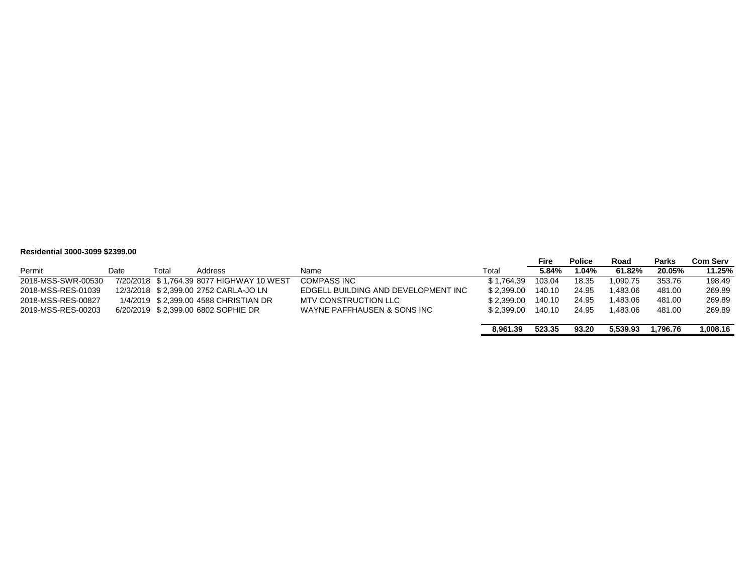#### **Residential 3000-3099 \$2399.00**

| <u>INGSHUGHINGI YUUU-YUYY WEYYYIUU </u> |      |       |                                           |                                     |            |        |               |          |              |          |
|-----------------------------------------|------|-------|-------------------------------------------|-------------------------------------|------------|--------|---------------|----------|--------------|----------|
|                                         |      |       |                                           |                                     |            | Fire   | <b>Police</b> | Road     | <b>Parks</b> | Com Serv |
| Permit                                  | Date | Total | Address                                   | Name                                | Total      | 5.84%  | .04%          | 61.82%   | 20.05%       | 11.25%   |
| 2018-MSS-SWR-00530                      |      |       | 7/20/2018 \$1,764.39 8077 HIGHWAY 10 WEST | <b>COMPASS INC</b>                  | \$1.764.39 | 103.04 | 18.35         | 1.090.75 | 353.76       | 198.49   |
| 2018-MSS-RES-01039                      |      |       | 12/3/2018 \$2.399.00 2752 CARLA-JO LN     | EDGELL BUILDING AND DEVELOPMENT INC | \$2.399.00 | 140.10 | 24.95         | 1.483.06 | 481.00       | 269.89   |
| 2018-MSS-RES-00827                      |      |       | 1/4/2019 \$2,399.00 4588 CHRISTIAN DR     | <b>MTV CONSTRUCTION LLC</b>         | \$2.399.00 | 140.10 | 24.95         | 1.483.06 | 481.00       | 269.89   |
| 2019-MSS-RES-00203                      |      |       | 6/20/2019 \$2.399.00 6802 SOPHIE DR       | WAYNE PAFFHAUSEN & SONS INC         | \$2.399.00 | 140.10 | 24.95         | 1.483.06 | 481.00       | 269.89   |
|                                         |      |       |                                           |                                     | 8.961.39   | 523.35 | 93.20         | 5.539.93 | .796.76      | 1.008.16 |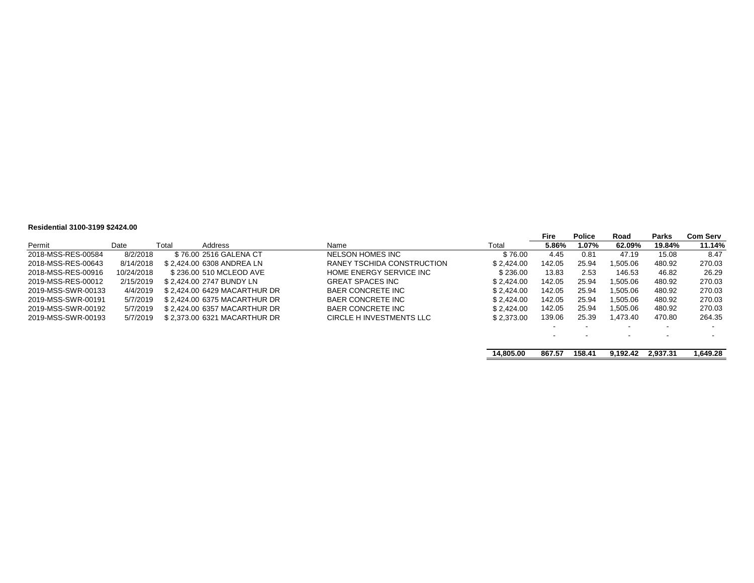#### **Residential 3100-3199 \$2424.00**

|                    |            |       |                              |                            |            | Fire                     | <b>Police</b> | Road                     | Parks                    | <b>Com Serv</b> |
|--------------------|------------|-------|------------------------------|----------------------------|------------|--------------------------|---------------|--------------------------|--------------------------|-----------------|
| Permit             | Date       | Total | Address                      | Name                       | Total      | 5.86%                    | 1.07%         | 62.09%                   | 19.84%                   | 11.14%          |
| 2018-MSS-RES-00584 | 8/2/2018   |       | \$76.00 2516 GALENA CT       | NELSON HOMES INC           | \$76.00    | 4.45                     | 0.81          | 47.19                    | 15.08                    | 8.47            |
| 2018-MSS-RES-00643 | 8/14/2018  |       | \$2.424.00 6308 ANDREA LN    | RANEY TSCHIDA CONSTRUCTION | \$2.424.00 | 142.05                   | 25.94         | 1.505.06                 | 480.92                   | 270.03          |
| 2018-MSS-RES-00916 | 10/24/2018 |       | \$236.00 510 MCLEOD AVE      | HOME ENERGY SERVICE INC    | \$236.00   | 13.83                    | 2.53          | 146.53                   | 46.82                    | 26.29           |
| 2019-MSS-RES-00012 | 2/15/2019  |       | \$2.424.00 2747 BUNDY LN     | <b>GREAT SPACES INC</b>    | \$2.424.00 | 142.05                   | 25.94         | 1.505.06                 | 480.92                   | 270.03          |
| 2019-MSS-SWR-00133 | 4/4/2019   |       | \$2.424.00 6429 MACARTHUR DR | BAER CONCRETE INC          | \$2.424.00 | 142.05                   | 25.94         | .505.06                  | 480.92                   | 270.03          |
| 2019-MSS-SWR-00191 | 5/7/2019   |       | \$2.424.00 6375 MACARTHUR DR | BAER CONCRETE INC          | \$2.424.00 | 142.05                   | 25.94         | 1,505.06                 | 480.92                   | 270.03          |
| 2019-MSS-SWR-00192 | 5/7/2019   |       | \$2.424.00 6357 MACARTHUR DR | BAER CONCRETE INC          | \$2.424.00 | 142.05                   | 25.94         | 1.505.06                 | 480.92                   | 270.03          |
| 2019-MSS-SWR-00193 | 5/7/2019   |       | \$2.373.00 6321 MACARTHUR DR | CIRCLE H INVESTMENTS LLC   | \$2.373.00 | 139.06                   | 25.39         | 1.473.40                 | 470.80                   | 264.35          |
|                    |            |       |                              |                            |            | $\overline{\phantom{a}}$ |               | $\overline{\phantom{0}}$ | $\overline{\phantom{a}}$ |                 |
|                    |            |       |                              |                            |            |                          |               |                          |                          |                 |
|                    |            |       |                              |                            | 14.805.00  | 867.57                   | 158.41        | 9.192.42                 | 2.937.31                 | 1.649.28        |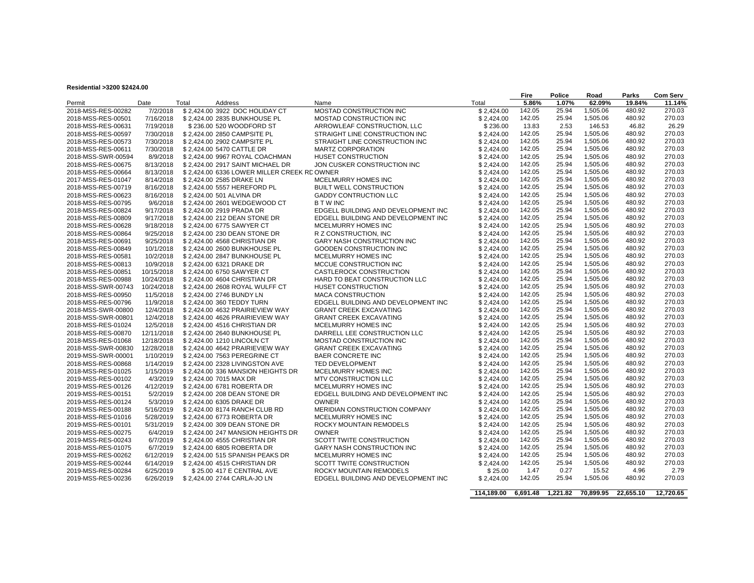#### **Residential >3200 \$2424.00**

|                                          |            |       |                                                                 |                                                      |                          | Fire             | <b>Police</b>  | Road                 | Parks            | <b>Com Serv</b> |
|------------------------------------------|------------|-------|-----------------------------------------------------------------|------------------------------------------------------|--------------------------|------------------|----------------|----------------------|------------------|-----------------|
| Permit                                   | Date       | Total | Address                                                         | Name                                                 | Total                    | 5.86%            | 1.07%          | 62.09%               | 19.84%           | 11.14%          |
| 2018-MSS-RES-00282                       | 7/2/2018   |       | \$2,424.00 3922 DOC HOLIDAY CT                                  | MOSTAD CONSTRUCTION INC                              | \$2,424.00               | 142.05           | 25.94          | 1,505.06             | 480.92           | 270.03          |
| 2018-MSS-RES-00501                       | 7/16/2018  |       | \$2,424.00 2835 BUNKHOUSE PL                                    | MOSTAD CONSTRUCTION INC                              | \$2,424.00               | 142.05           | 25.94          | 1.505.06             | 480.92           | 270.03          |
| 2018-MSS-RES-00631                       | 7/19/2018  |       | \$236.00 520 WOODFORD ST                                        | ARROWLEAF CONSTRUCTION, LLC                          | \$236.00                 | 13.83            | 2.53           | 146.53               | 46.82            | 26.29           |
| 2018-MSS-RES-00597                       | 7/30/2018  |       | \$2,424.00 2850 CAMPSITE PL                                     | STRAIGHT LINE CONSTRUCTION INC                       | \$2,424.00               | 142.05           | 25.94          | 1,505.06             | 480.92           | 270.03          |
| 2018-MSS-RES-00573                       | 7/30/2018  |       | \$2,424.00 2902 CAMPSITE PL                                     | STRAIGHT LINE CONSTRUCTION INC                       | \$2,424.00               | 142.05           | 25.94          | 1.505.06             | 480.92           | 270.03          |
| 2018-MSS-RES-00611                       | 7/30/2018  |       | \$2.424.00 5470 CATTLE DR                                       | <b>MARTZ CORPORATION</b>                             | \$2.424.00               | 142.05           | 25.94          | 1,505.06             | 480.92           | 270.03          |
| 2018-MSS-SWR-00594                       | 8/9/2018   |       | \$2,424.00 9967 ROYAL COACHMAN                                  | HUSET CONSTRUCTION                                   | \$2,424.00               | 142.05           | 25.94          | 1,505.06             | 480.92           | 270.03          |
| 2018-MSS-RES-00675                       | 8/13/2018  |       | \$2,424.00 2917 SAINT MICHAEL DR                                | JON CUSKER CONSTRUCTION INC                          | \$2.424.00               | 142.05           | 25.94          | 1,505.06             | 480.92           | 270.03          |
| 2018-MSS-RES-00664                       | 8/13/2018  |       | \$2,424.00 6336 LOWER MILLER CREEK RD OWNER                     |                                                      | \$2,424.00               | 142.05           | 25.94          | 1,505.06             | 480.92           | 270.03          |
| 2017-MSS-RES-01047                       | 8/14/2018  |       | \$2,424.00 2585 DRAKE LN                                        | MCELMURRY HOMES INC                                  | \$2,424.00               | 142.05           | 25.94          | 1,505.06             | 480.92           | 270.03          |
| 2018-MSS-RES-00719                       | 8/16/2018  |       | \$2,424.00 5557 HEREFORD PL                                     | <b>BUILT WELL CONSTRUCTION</b>                       | \$2.424.00               | 142.05           | 25.94          | 1,505.06             | 480.92           | 270.03          |
| 2018-MSS-RES-00623                       | 8/16/2018  |       | \$2,424.00 501 ALVINA DR                                        | <b>GADDY CONTRUCTION LLC</b>                         | \$2,424.00               | 142.05           | 25.94          | 1,505.06             | 480.92           | 270.03          |
| 2018-MSS-RES-00795                       | 9/6/2018   |       | \$2,424.00 2601 WEDGEWOOD CT                                    | <b>BTWINC</b>                                        | \$2.424.00               | 142.05           | 25.94          | 1.505.06             | 480.92           | 270.03          |
| 2018-MSS-RES-00824                       | 9/17/2018  |       | \$2,424.00 2919 PRADA DR                                        | EDGELL BUILDING AND DEVELOPMENT INC                  | \$2,424.00               | 142.05           | 25.94          | 1,505.06             | 480.92           | 270.03          |
| 2018-MSS-RES-00809                       | 9/17/2018  |       | \$2,424.00 212 DEAN STONE DR                                    | EDGELL BUILDING AND DEVELOPMENT INC                  | \$2,424.00               | 142.05           | 25.94          | 1,505.06             | 480.92           | 270.03          |
| 2018-MSS-RES-00628                       | 9/18/2018  |       | \$2,424.00 6775 SAWYER CT                                       | MCELMURRY HOMES INC                                  | \$2,424.00               | 142.05           | 25.94          | 1,505.06             | 480.92           | 270.03          |
| 2018-MSS-RES-00864                       | 9/25/2018  |       | \$2,424.00 230 DEAN STONE DR                                    | R Z CONSTRUCTION, INC                                | \$2,424.00               | 142.05           | 25.94          | 1,505.06             | 480.92           | 270.03          |
| 2018-MSS-RES-00691                       | 9/25/2018  |       | \$2,424.00 4568 CHRISTIAN DR                                    | <b>GARY NASH CONSTRUCTION INC</b>                    | \$2,424.00               | 142.05           | 25.94          | 1.505.06             | 480.92           | 270.03          |
| 2018-MSS-RES-00849                       | 10/1/2018  |       | \$2,424.00 2600 BUNKHOUSE PL                                    | GOODEN CONSTRUCTION INC                              | \$2,424.00               | 142.05           | 25.94          | 1,505.06             | 480.92           | 270.03          |
| 2018-MSS-RES-00581                       | 10/2/2018  |       | \$2,424.00 2847 BUNKHOUSE PL                                    | MCELMURRY HOMES INC                                  | \$2,424.00               | 142.05           | 25.94          | 1,505.06             | 480.92           | 270.03          |
| 2018-MSS-RES-00813                       | 10/9/2018  |       | \$2,424.00 6321 DRAKE DR                                        | MCCUE CONSTRUCTION INC                               | \$2.424.00               | 142.05           | 25.94          | 1,505.06             | 480.92           | 270.03          |
| 2018-MSS-RES-00851                       | 10/15/2018 |       | \$2,424.00 6750 SAWYER CT                                       | CASTLEROCK CONSTRUCTION                              | \$2,424.00               | 142.05           | 25.94          | 1,505.06             | 480.92           | 270.03          |
| 2018-MSS-RES-00988                       | 10/24/2018 |       | \$2,424.00 4604 CHRISTIAN DR                                    | HARD TO BEAT CONSTRUCTION LLC                        | \$2,424.00               | 142.05           | 25.94          | 1,505.06             | 480.92           | 270.03          |
| 2018-MSS-SWR-00743                       | 10/24/2018 |       | \$2,424.00 2608 ROYAL WULFF CT                                  | HUSET CONSTRUCTION                                   | \$2,424.00               | 142.05           | 25.94          | 1,505.06             | 480.92           | 270.03          |
| 2018-MSS-RES-00950                       | 11/5/2018  |       | \$2,424.00 2746 BUNDY LN                                        | <b>MACA CONSTRUCTION</b>                             | \$2,424.00               | 142.05           | 25.94          | 1,505.06             | 480.92           | 270.03          |
|                                          | 11/9/2018  |       | \$2,424.00 360 TEDDY TURN                                       | EDGELL BUILDING AND DEVELOPMENT INC                  |                          | 142.05           | 25.94          | 1,505.06             | 480.92           | 270.03          |
| 2018-MSS-RES-00796<br>2018-MSS-SWR-00800 | 12/4/2018  |       | \$2,424.00 4632 PRAIRIEVIEW WAY                                 | <b>GRANT CREEK EXCAVATING</b>                        | \$2,424.00<br>\$2,424.00 | 142.05           | 25.94          | 1,505.06             | 480.92           | 270.03          |
|                                          | 12/4/2018  |       |                                                                 |                                                      |                          | 142.05           | 25.94          | 1,505.06             | 480.92           | 270.03          |
| 2018-MSS-SWR-00801<br>2018-MSS-RES-01024 | 12/5/2018  |       | \$2,424.00 4626 PRAIRIEVIEW WAY<br>\$2,424.00 4516 CHRISTIAN DR | <b>GRANT CREEK EXCAVATING</b><br>MCELMURRY HOMES INC | \$2,424.00<br>\$2,424.00 | 142.05           | 25.94          | 1,505.06             | 480.92           | 270.03          |
|                                          |            |       |                                                                 |                                                      |                          | 142.05           | 25.94          | 1,505.06             | 480.92           | 270.03          |
| 2018-MSS-RES-00870                       | 12/11/2018 |       | \$2,424.00 2640 BUNKHOUSE PL                                    | DARRELL LEE CONSTRUCTION LLC                         | \$2,424.00               | 142.05           | 25.94          | 1.505.06             | 480.92           | 270.03          |
| 2018-MSS-RES-01068                       | 12/18/2018 |       | \$2,424.00 1210 LINCOLN CT                                      | MOSTAD CONSTRUCTION INC                              | \$2,424.00               |                  |                |                      |                  | 270.03          |
| 2018-MSS-SWR-00830                       | 12/28/2018 |       | \$2,424.00 4642 PRAIRIEVIEW WAY                                 | <b>GRANT CREEK EXCAVATING</b>                        | \$2,424.00               | 142.05<br>142.05 | 25.94<br>25.94 | 1,505.06<br>1,505.06 | 480.92<br>480.92 | 270.03          |
| 2019-MSS-SWR-00001                       | 1/10/2019  |       | \$2,424.00 7563 PEREGRINE CT                                    | <b>BAER CONCRETE INC</b>                             | \$2,424.00               |                  |                |                      |                  |                 |
| 2018-MSS-RES-00868                       | 1/14/2019  |       | \$2,424.00 2328 LIVINGSTON AVE                                  | TED DEVELOPMENT                                      | \$2,424.00               | 142.05           | 25.94          | 1,505.06             | 480.92           | 270.03          |
| 2018-MSS-RES-01025                       | 1/15/2019  |       | \$2,424.00 336 MANSION HEIGHTS DR                               | MCELMURRY HOMES INC                                  | \$2,424.00               | 142.05           | 25.94          | 1,505.06             | 480.92           | 270.03          |
| 2019-MSS-RES-00102                       | 4/3/2019   |       | \$2,424.00 7015 MAX DR                                          | MTV CONSTRUCTION LLC                                 | \$2,424.00               | 142.05           | 25.94          | 1.505.06             | 480.92           | 270.03          |
| 2019-MSS-RES-00126                       | 4/12/2019  |       | \$2,424.00 6781 ROBERTA DR                                      | MCELMURRY HOMES INC                                  | \$2,424.00               | 142.05           | 25.94          | 1,505.06             | 480.92           | 270.03          |
| 2019-MSS-RES-00151                       | 5/2/2019   |       | \$2,424.00 208 DEAN STONE DR                                    | EDGELL BUILDING AND DEVELOPMENT INC                  | \$2,424.00               | 142.05           | 25.94          | 1,505.06             | 480.92           | 270.03          |
| 2019-MSS-RES-00124                       | 5/3/2019   |       | \$2,424.00 6305 DRAKE DR                                        | <b>OWNER</b>                                         | \$2,424.00               | 142.05           | 25.94          | 1,505.06             | 480.92           | 270.03          |
| 2019-MSS-RES-00188                       | 5/16/2019  |       | \$2,424.00 8174 RANCH CLUB RD                                   | MERIDIAN CONSTRUCTION COMPANY                        | \$2,424.00               | 142.05           | 25.94          | 1,505.06             | 480.92           | 270.03          |
| 2018-MSS-RES-01016                       | 5/28/2019  |       | \$2,424.00 6773 ROBERTA DR                                      | MCELMURRY HOMES INC                                  | \$2,424.00               | 142.05           | 25.94          | 1,505.06             | 480.92           | 270.03          |
| 2019-MSS-RES-00101                       | 5/31/2019  |       | \$2,424.00 309 DEAN STONE DR                                    | <b>ROCKY MOUNTAIN REMODELS</b>                       | \$2.424.00               | 142.05           | 25.94          | 1,505.06             | 480.92           | 270.03          |
| 2019-MSS-RES-00275                       | 6/4/2019   |       | \$2,424.00 247 MANSION HEIGHTS DR                               | <b>OWNER</b>                                         | \$2,424.00               | 142.05           | 25.94          | 1,505.06             | 480.92           | 270.03          |
| 2019-MSS-RES-00243                       | 6/7/2019   |       | \$2,424.00 4555 CHRISTIAN DR                                    | SCOTT TWITE CONSTRUCTION                             | \$2,424.00               | 142.05           | 25.94          | 1,505.06             | 480.92           | 270.03          |
| 2018-MSS-RES-01075                       | 6/7/2019   |       | \$2,424.00 6805 ROBERTA DR                                      | GARY NASH CONSTRUCTION INC                           | \$2,424.00               | 142.05           | 25.94          | 1,505.06             | 480.92           | 270.03          |
| 2019-MSS-RES-00262                       | 6/12/2019  |       | \$2,424.00 515 SPANISH PEAKS DR                                 | MCELMURRY HOMES INC                                  | \$2,424.00               | 142.05           | 25.94          | 1,505.06             | 480.92           | 270.03          |
| 2019-MSS-RES-00244                       | 6/14/2019  |       | \$2,424.00 4515 CHRISTIAN DR                                    | SCOTT TWITE CONSTRUCTION                             | \$2,424.00               | 142.05           | 25.94          | 1,505.06             | 480.92           | 270.03          |
| 2019-MSS-RES-00284                       | 6/25/2019  |       | \$25.00 417 E CENTRAL AVE                                       | ROCKY MOUNTAIN REMODELS                              | \$25.00                  | 1.47             | 0.27           | 15.52                | 4.96             | 2.79            |
| 2019-MSS-RES-00236                       | 6/26/2019  |       | \$2,424.00 2744 CARLA-JO LN                                     | EDGELL BUILDING AND DEVELOPMENT INC                  | \$2,424.00               | 142.05           | 25.94          | 1,505.06             | 480.92           | 270.03          |
|                                          |            |       |                                                                 |                                                      | 114,189.00               | 6,691.48         | 1,221.82       | 70.899.95            | 22.655.10        | 12,720.65       |
|                                          |            |       |                                                                 |                                                      |                          |                  |                |                      |                  |                 |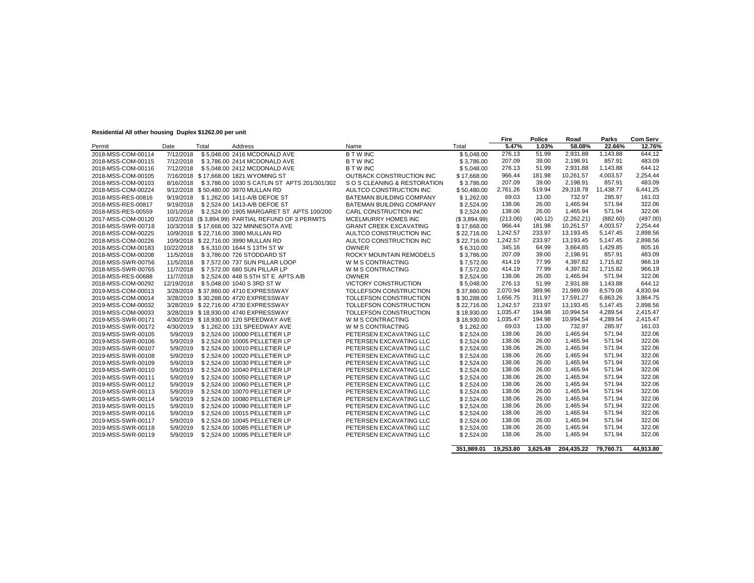#### **Residential All other housing Duplex \$1262.00 per unit**

| residendar Airburgi nodsing Dapies wrzeżod per anit |            |       |                                                    |                                |              | Fire     | Police  | Road       | Parks     | <b>Com Serv</b> |
|-----------------------------------------------------|------------|-------|----------------------------------------------------|--------------------------------|--------------|----------|---------|------------|-----------|-----------------|
| Permit                                              | Date       | Total | Address                                            | Name                           | Total        | 5.47%    | 1.03%   | 58.08%     | 22.66%    | 12.76%          |
| 2018-MSS-COM-00114                                  | 7/12/2018  |       | \$5,048.00 2416 MCDONALD AVE                       | <b>BTWINC</b>                  | \$5,048.00   | 276.13   | 51.99   | 2,931.88   | 1,143.88  | 644.12          |
| 2018-MSS-COM-00115                                  | 7/12/2018  |       | \$3,786.00 2414 MCDONALD AVE                       | <b>BTWINC</b>                  | \$3,786.00   | 207.09   | 39.00   | 2.198.91   | 857.91    | 483.09          |
| 2018-MSS-COM-00116                                  | 7/12/2018  |       | \$5,048.00 2412 MCDONALD AVE                       | <b>BTWINC</b>                  | \$5,048.00   | 276.13   | 51.99   | 2.931.88   | 1.143.88  | 644.12          |
| 2018-MSS-COM-00105                                  |            |       | 7/16/2018 \$17.668.00 1821 WYOMING ST              | OUTBACK CONSTRUCTION INC       | \$17,668.00  | 966.44   | 181.98  | 10,261.57  | 4,003.57  | 2,254.44        |
| 2018-MSS-COM-00103                                  | 8/16/2018  |       | \$3,786.00 1030 S CATLIN ST APTS 201/301/302       | S O S CLEANING & RESTORATION   | \$3.786.00   | 207.09   | 39.00   | 2,198.91   | 857.91    | 483.09          |
| 2018-MSS-COM-00224                                  |            |       | 9/12/2018 \$50.480.00 3970 MULLAN RD               | AULTCO CONSTRUCTION INC        | \$50,480.00  | 2,761.26 | 519.94  | 29,318.78  | 11,438.77 | 6,441.25        |
| 2018-MSS-RES-00816                                  | 9/19/2018  |       | \$1,262.00 1411-A/B DEFOE ST                       | BATEMAN BUILDING COMPANY       | \$1,262.00   | 69.03    | 13.00   | 732.97     | 285.97    | 161.03          |
| 2018-MSS-RES-00817                                  | 9/19/2018  |       | \$2,524.00 1413-A/B DEFOE ST                       | BATEMAN BUILDING COMPANY       | \$2,524.00   | 138.06   | 26.00   | 1.465.94   | 571.94    | 322.06          |
| 2018-MSS-RES-00559                                  | 10/1/2018  |       | \$2,524.00 1905 MARGARET ST APTS 100/200           | CARL CONSTRUCTION INC          | \$2,524.00   | 138.06   | 26.00   | 1,465.94   | 571.94    | 322.06          |
| 2017-MSS-COM-00120                                  |            |       | 10/2/2018 (\$3.894.99) PARTIAL REFUND OF 3 PERMITS | MCELMURRY HOMES INC            | (S.3,894.99) | (213.06) | (40.12) | (2,262.21) | (882.60)  | (497.00)        |
| 2018-MSS-SWR-00718                                  |            |       | 10/3/2018 \$17.668.00 322 MINNESOTA AVE            | <b>GRANT CREEK EXCAVATING</b>  | \$17,668.00  | 966.44   | 181.98  | 10.261.57  | 4,003.57  | 2.254.44        |
| 2018-MSS-COM-00225                                  |            |       | 10/9/2018 \$22,716.00 3980 MULLAN RD               | AULTCO CONSTRUCTION INC        | \$22,716.00  | 1,242.57 | 233.97  | 13.193.45  | 5.147.45  | 2,898.56        |
| 2018-MSS-COM-00226                                  |            |       | 10/9/2018 \$22,716.00 3990 MULLAN RD               | AULTCO CONSTRUCTION INC        | \$22,716.00  | 1.242.57 | 233.97  | 13.193.45  | 5.147.45  | 2.898.56        |
| 2018-MSS-COM-00183                                  | 10/22/2018 |       | \$6.310.00 1644 S 13TH ST W                        | <b>OWNER</b>                   | \$6,310.00   | 345.16   | 64.99   | 3.664.85   | 1.429.85  | 805.16          |
| 2018-MSS-COM-00208                                  | 11/5/2018  |       | \$3.786.00 726 STODDARD ST                         | <b>ROCKY MOUNTAIN REMODELS</b> | \$3.786.00   | 207.09   | 39.00   | 2.198.91   | 857.91    | 483.09          |
| 2018-MSS-SWR-00756                                  | 11/5/2018  |       | \$7.572.00 737 SUN PILLAR LOOP                     | W M S CONTRACTING              | \$7.572.00   | 414.19   | 77.99   | 4,397.82   | 1,715.82  | 966.19          |
| 2018-MSS-SWR-00765                                  | 11/7/2018  |       | \$7.572.00 680 SUN PILLAR LP                       | W M S CONTRACTING              | \$7.572.00   | 414.19   | 77.99   | 4.397.82   | 1.715.82  | 966.19          |
| 2018-MSS-RES-00688                                  | 11/7/2018  |       | \$2,524.00 448 S 5TH ST E APTS A/B                 | <b>OWNER</b>                   | \$2,524.00   | 138.06   | 26.00   | 1.465.94   | 571.94    | 322.06          |
| 2018-MSS-COM-00292                                  | 12/19/2018 |       | \$5,048.00 1040 S 3RD ST W                         | <b>VICTORY CONSTRUCTION</b>    | \$5.048.00   | 276.13   | 51.99   | 2.931.88   | 1.143.88  | 644.12          |
| 2019-MSS-COM-00013                                  |            |       | 3/28/2019 \$37.860.00 4710 EXPRESSWAY              | TOLLEFSON CONSTRUCTION         | \$37,860.00  | 2,070.94 | 389.96  | 21,989.09  | 8,579.08  | 4,830.94        |
| 2019-MSS-COM-00014                                  |            |       | 3/28/2019 \$30.288.00 4720 EXPRESSWAY              | TOLLEFSON CONSTRUCTION         | \$30,288.00  | 1,656.75 | 311.97  | 17.591.27  | 6,863.26  | 3.864.75        |
| 2019-MSS-COM-00032                                  |            |       | 3/28/2019 \$22.716.00 4730 EXPRESSWAY              | TOLLEFSON CONSTRUCTION         | \$22,716.00  | 1,242.57 | 233.97  | 13.193.45  | 5.147.45  | 2,898.56        |
| 2019-MSS-COM-00033                                  |            |       | 3/28/2019 \$18,930.00 4740 EXPRESSWAY              | TOLLEFSON CONSTRUCTION         | \$18,930.00  | 1.035.47 | 194.98  | 10.994.54  | 4.289.54  | 2.415.47        |
| 2019-MSS-SWR-00171                                  |            |       | 4/30/2019 \$18.930.00 120 SPEEDWAY AVE             | W M S CONTRACTING              | \$18,930.00  | 1,035.47 | 194.98  | 10.994.54  | 4,289.54  | 2,415.47        |
| 2019-MSS-SWR-00172                                  | 4/30/2019  |       | \$1,262.00 131 SPEEDWAY AVE                        | W M S CONTRACTING              | \$1,262.00   | 69.03    | 13.00   | 732.97     | 285.97    | 161.03          |
| 2019-MSS-SWR-00105                                  | 5/9/2019   |       | \$2.524.00 10000 PELLETIER LP                      | PETERSEN EXCAVATING LLC        | \$2.524.00   | 138.06   | 26.00   | 1,465.94   | 571.94    | 322.06          |
| 2019-MSS-SWR-00106                                  | 5/9/2019   |       | \$2,524.00 10005 PELLETIER LP                      | PETERSEN EXCAVATING LLC        | \$2,524.00   | 138.06   | 26.00   | 1.465.94   | 571.94    | 322.06          |
| 2019-MSS-SWR-00107                                  | 5/9/2019   |       | \$2.524.00 10010 PELLETIER LP                      | PETERSEN EXCAVATING LLC        | \$2.524.00   | 138.06   | 26.00   | 1,465.94   | 571.94    | 322.06          |
| 2019-MSS-SWR-00108                                  | 5/9/2019   |       | \$2,524.00 10020 PELLETIER LP                      | PETERSEN EXCAVATING LLC        | \$2,524.00   | 138.06   | 26.00   | 1,465.94   | 571.94    | 322.06          |
| 2019-MSS-SWR-00109                                  | 5/9/2019   |       | \$2.524.00 10030 PELLETIER LP                      | PETERSEN EXCAVATING LLC        | \$2,524.00   | 138.06   | 26.00   | 1.465.94   | 571.94    | 322.06          |
| 2019-MSS-SWR-00110                                  | 5/9/2019   |       | \$2.524.00 10040 PELLETIER LP                      | PETERSEN EXCAVATING LLC        | \$2.524.00   | 138.06   | 26.00   | 1.465.94   | 571.94    | 322.06          |
| 2019-MSS-SWR-00111                                  | 5/9/2019   |       | \$2,524.00 10050 PELLETIER LP                      | PETERSEN EXCAVATING LLC        | \$2,524.00   | 138.06   | 26.00   | 1,465.94   | 571.94    | 322.06          |
| 2019-MSS-SWR-00112                                  | 5/9/2019   |       | \$2,524.00 10060 PELLETIER LP                      | PETERSEN EXCAVATING LLC        | \$2,524.00   | 138.06   | 26.00   | 1.465.94   | 571.94    | 322.06          |
| 2019-MSS-SWR-00113                                  | 5/9/2019   |       | \$2.524.00 10070 PELLETIER LP                      | PETERSEN EXCAVATING LLC        | \$2,524.00   | 138.06   | 26.00   | 1.465.94   | 571.94    | 322.06          |
| 2019-MSS-SWR-00114                                  | 5/9/2019   |       | \$2.524.00 10080 PELLETIER LP                      | PETERSEN EXCAVATING LLC        | \$2,524.00   | 138.06   | 26.00   | 1,465.94   | 571.94    | 322.06          |
| 2019-MSS-SWR-00115                                  | 5/9/2019   |       | \$2.524.00 10090 PELLETIER LP                      | PETERSEN EXCAVATING LLC        | \$2.524.00   | 138.06   | 26.00   | 1,465.94   | 571.94    | 322.06          |
| 2019-MSS-SWR-00116                                  | 5/9/2019   |       | \$2.524.00 10015 PELLETIER LP                      | PETERSEN EXCAVATING LLC        | \$2.524.00   | 138.06   | 26.00   | 1,465.94   | 571.94    | 322.06          |
| 2019-MSS-SWR-00117                                  | 5/9/2019   |       | \$2,524.00 10045 PELLETIER LP                      | PETERSEN EXCAVATING LLC        | \$2,524.00   | 138.06   | 26.00   | 1,465.94   | 571.94    | 322.06          |
| 2019-MSS-SWR-00118                                  | 5/9/2019   |       | \$2,524.00 10085 PELLETIER LP                      | PETERSEN EXCAVATING LLC        | \$2,524.00   | 138.06   | 26.00   | 1.465.94   | 571.94    | 322.06          |
| 2019-MSS-SWR-00119                                  | 5/9/2019   |       | \$2.524.00 10095 PELLETIER LP                      | PETERSEN EXCAVATING LLC        | \$2,524.00   | 138.06   | 26.00   | 1,465.94   | 571.94    | 322.06          |
|                                                     |            |       |                                                    |                                |              |          |         |            |           |                 |

**351,989.01 19,253.80 3,625.49 204,435.22 79,760.71 44,913.80**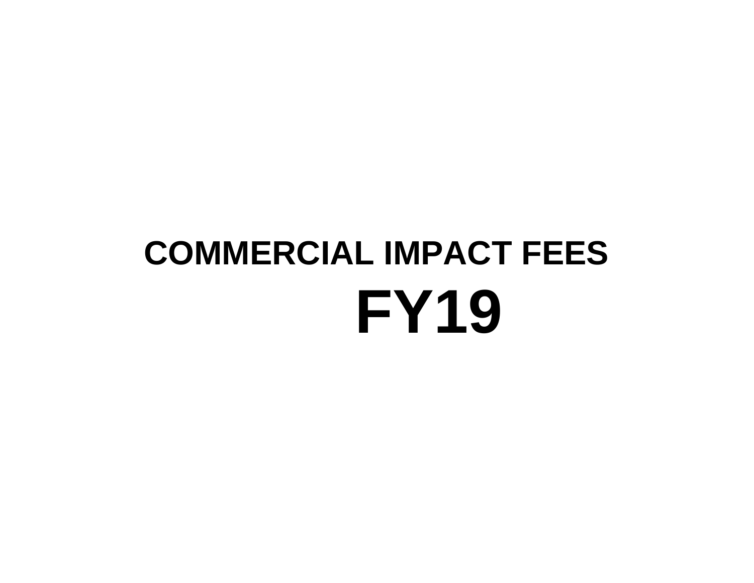## **COMMERCIAL IMPACT FEES FY19**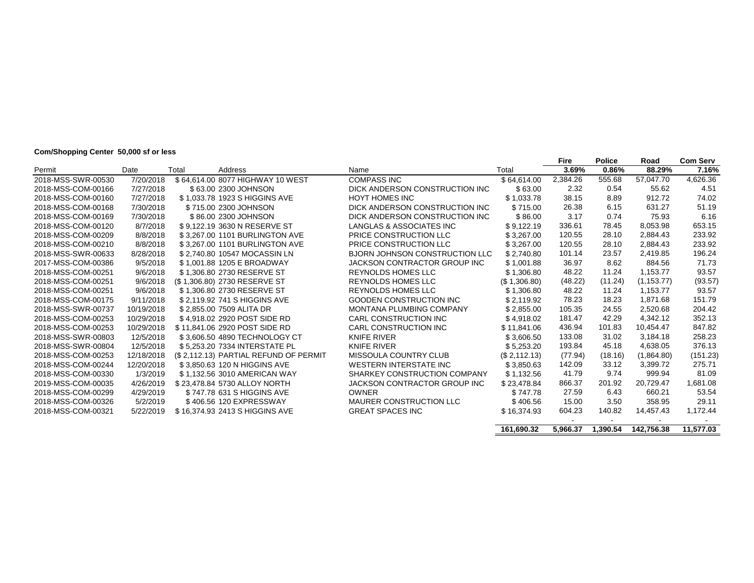## **Com/Shopping Center 50,000 sf or less**

|                    |            |       |                                       |                                 |               | Fire     | <b>Police</b> | Road        | <b>Com Serv</b> |
|--------------------|------------|-------|---------------------------------------|---------------------------------|---------------|----------|---------------|-------------|-----------------|
| Permit             | Date       | Total | Address                               | Name                            | Total         | 3.69%    | 0.86%         | 88.29%      | 7.16%           |
| 2018-MSS-SWR-00530 | 7/20/2018  |       | \$64,614.00 8077 HIGHWAY 10 WEST      | <b>COMPASS INC</b>              | \$64.614.00   | 2,384.26 | 555.68        | 57.047.70   | 4,626.36        |
| 2018-MSS-COM-00166 | 7/27/2018  |       | \$63.00 2300 JOHNSON                  | DICK ANDERSON CONSTRUCTION INC. | \$63.00       | 2.32     | 0.54          | 55.62       | 4.51            |
| 2018-MSS-COM-00160 | 7/27/2018  |       | \$1,033.78 1923 S HIGGINS AVE         | HOYT HOMES INC                  | \$1,033.78    | 38.15    | 8.89          | 912.72      | 74.02           |
| 2018-MSS-COM-00168 | 7/30/2018  |       | \$715.00 2300 JOHNSON                 | DICK ANDERSON CONSTRUCTION INC  | \$715.00      | 26.38    | 6.15          | 631.27      | 51.19           |
| 2018-MSS-COM-00169 | 7/30/2018  |       | \$86.00 2300 JOHNSON                  | DICK ANDERSON CONSTRUCTION INC  | \$86.00       | 3.17     | 0.74          | 75.93       | 6.16            |
| 2018-MSS-COM-00120 | 8/7/2018   |       | \$9.122.19 3630 N RESERVE ST          | LANGLAS & ASSOCIATES INC        | \$9,122.19    | 336.61   | 78.45         | 8,053.98    | 653.15          |
| 2018-MSS-COM-00209 | 8/8/2018   |       | \$3,267.00 1101 BURLINGTON AVE        | PRICE CONSTRUCTION LLC          | \$3,267.00    | 120.55   | 28.10         | 2,884.43    | 233.92          |
| 2018-MSS-COM-00210 | 8/8/2018   |       | \$3.267.00 1101 BURLINGTON AVE        | PRICE CONSTRUCTION LLC          | \$3,267.00    | 120.55   | 28.10         | 2,884.43    | 233.92          |
| 2018-MSS-SWR-00633 | 8/28/2018  |       | \$2.740.80 10547 MOCASSIN LN          | BJORN JOHNSON CONSTRUCTION LLC  | \$2,740.80    | 101.14   | 23.57         | 2.419.85    | 196.24          |
| 2017-MSS-COM-00386 | 9/5/2018   |       | \$1,001.88 1205 E BROADWAY            | JACKSON CONTRACTOR GROUP INC    | \$1,001.88    | 36.97    | 8.62          | 884.56      | 71.73           |
| 2018-MSS-COM-00251 | 9/6/2018   |       | \$1,306.80 2730 RESERVE ST            | <b>REYNOLDS HOMES LLC</b>       | \$1,306.80    | 48.22    | 11.24         | 1,153.77    | 93.57           |
| 2018-MSS-COM-00251 | 9/6/2018   |       | (\$1,306.80) 2730 RESERVE ST          | <b>REYNOLDS HOMES LLC</b>       | (S 1, 306.80) | (48.22)  | (11.24)       | (1, 153.77) | (93.57)         |
| 2018-MSS-COM-00251 | 9/6/2018   |       | \$1.306.80 2730 RESERVE ST            | <b>REYNOLDS HOMES LLC</b>       | \$1,306.80    | 48.22    | 11.24         | 1,153.77    | 93.57           |
| 2018-MSS-COM-00175 | 9/11/2018  |       | \$2.119.92 741 S HIGGINS AVE          | <b>GOODEN CONSTRUCTION INC.</b> | \$2.119.92    | 78.23    | 18.23         | 1,871.68    | 151.79          |
| 2018-MSS-SWR-00737 | 10/19/2018 |       | \$2.855.00 7509 ALITA DR              | <b>MONTANA PLUMBING COMPANY</b> | \$2,855.00    | 105.35   | 24.55         | 2,520.68    | 204.42          |
| 2018-MSS-COM-00253 | 10/29/2018 |       | \$4.918.02 2920 POST SIDE RD          | CARL CONSTRUCTION INC           | \$4.918.02    | 181.47   | 42.29         | 4,342.12    | 352.13          |
| 2018-MSS-COM-00253 | 10/29/2018 |       | \$11.841.06 2920 POST SIDE RD         | CARL CONSTRUCTION INC           | \$11,841.06   | 436.94   | 101.83        | 10,454.47   | 847.82          |
| 2018-MSS-SWR-00803 | 12/5/2018  |       | \$3.606.50 4890 TECHNOLOGY CT         | KNIFE RIVER                     | \$3,606.50    | 133.08   | 31.02         | 3,184.18    | 258.23          |
| 2018-MSS-SWR-00804 | 12/5/2018  |       | \$5.253.20 7334 INTERSTATE PL         | <b>KNIFE RIVER</b>              | \$5,253.20    | 193.84   | 45.18         | 4,638.05    | 376.13          |
| 2018-MSS-COM-00253 | 12/18/2018 |       | (\$2,112.13) PARTIAL REFUND OF PERMIT | MISSOULA COUNTRY CLUB           | (\$2,112.13)  | (77.94)  | (18.16)       | (1,864.80)  | (151.23)        |
| 2018-MSS-COM-00244 | 12/20/2018 |       | \$3,850.63 120 N HIGGINS AVE          | <b>WESTERN INTERSTATE INC.</b>  | \$3,850.63    | 142.09   | 33.12         | 3,399.72    | 275.71          |
| 2018-MSS-COM-00330 | 1/3/2019   |       | \$1.132.56 3010 AMERICAN WAY          | SHARKEY CONSTRUCTION COMPANY    | \$1,132.56    | 41.79    | 9.74          | 999.94      | 81.09           |
| 2019-MSS-COM-00035 | 4/26/2019  |       | \$23,478.84 5730 ALLOY NORTH          | JACKSON CONTRACTOR GROUP INC    | \$23,478.84   | 866.37   | 201.92        | 20,729.47   | 1,681.08        |
| 2018-MSS-COM-00299 | 4/29/2019  |       | \$747.78 631 S HIGGINS AVE            | <b>OWNER</b>                    | \$747.78      | 27.59    | 6.43          | 660.21      | 53.54           |
| 2018-MSS-COM-00326 | 5/2/2019   |       | \$406.56 120 EXPRESSWAY               | MAURER CONSTRUCTION LLC         | \$406.56      | 15.00    | 3.50          | 358.95      | 29.11           |
| 2018-MSS-COM-00321 | 5/22/2019  |       | \$16,374.93 2413 S HIGGINS AVE        | <b>GREAT SPACES INC</b>         | \$16,374.93   | 604.23   | 140.82        | 14,457.43   | 1,172.44        |
|                    |            |       |                                       |                                 |               |          |               |             |                 |
|                    |            |       |                                       |                                 | 161.690.32    | 5.966.37 | 1.390.54      | 142.756.38  | 11.577.03       |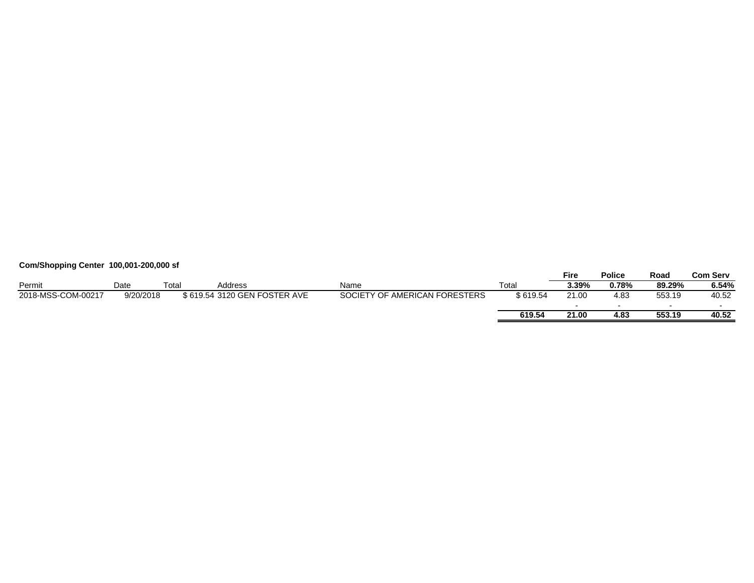## **Com/Shopping Center 100,001-200,000 sf**

|                    |           |      |                              |                               |          | <b>Fire</b>              | <b>Police</b> | Road   | Com Serv |
|--------------------|-----------|------|------------------------------|-------------------------------|----------|--------------------------|---------------|--------|----------|
| Permit             | Date      | Гоtа | Address                      | Name                          | Гotal    | 3.39%                    | 0.78%         | 89.29% | 6.54%    |
| 2018-MSS-COM-00217 | 9/20/2018 |      | \$619.54 3120 GEN FOSTER AVE | SOCIETY OF AMERICAN FORESTERS | \$619.54 | 21.00                    | 4.83          | 553.19 | 40.52    |
|                    |           |      |                              |                               |          | $\overline{\phantom{a}}$ |               |        |          |
|                    |           |      |                              |                               | 619.54   | 21.00                    | 4.83          | 553.19 | 40.52    |
|                    |           |      |                              |                               |          |                          |               |        |          |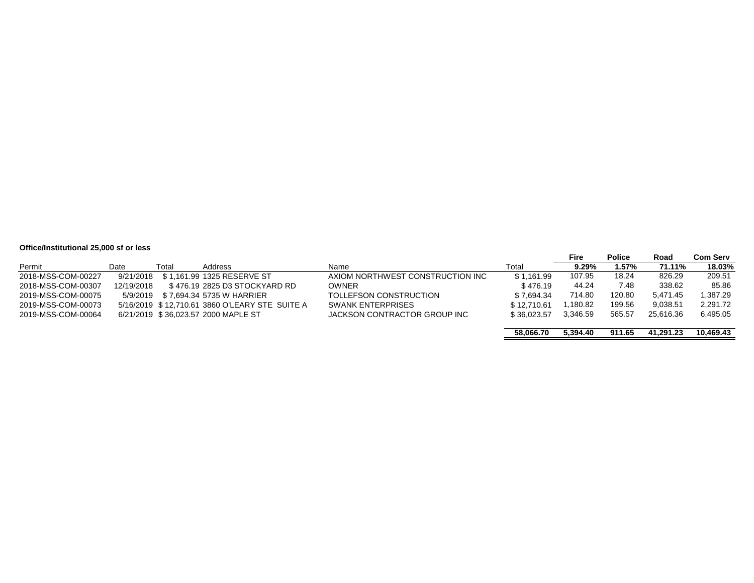## **Office/Institutional 25,000 sf or less**

|                    |            |       |                                                |                                  |             | Fire     | <b>Police</b> | Road      | Com Serv  |
|--------------------|------------|-------|------------------------------------------------|----------------------------------|-------------|----------|---------------|-----------|-----------|
| Permit             | Date       | Total | Address                                        | Name                             | Total       | 9.29%    | 1.57%         | 71.11%    | 18.03%    |
| 2018-MSS-COM-00227 | 9/21/2018  |       | \$1.161.99 1325 RESERVE ST                     | AXIOM NORTHWEST CONSTRUCTION INC | \$1,161.99  | 107.95   | 18.24         | 826.29    | 209.51    |
| 2018-MSS-COM-00307 | 12/19/2018 |       | \$476.19 2825 D3 STOCKYARD RD                  | OWNER                            | \$476.19    | 44.24    | 7.48          | 338.62    | 85.86     |
| 2019-MSS-COM-00075 | 5/9/2019   |       | \$ 7.694.34 5735 W HARRIER                     | TOLLEFSON CONSTRUCTION           | \$7.694.34  | 714.80   | 120.80        | 5.471.45  | 1.387.29  |
| 2019-MSS-COM-00073 |            |       | 5/16/2019 \$12.710.61 3860 O'LEARY STE SUITE A | <b>SWANK ENTERPRISES</b>         | \$12,710.61 | 1.180.82 | 199.56        | 9.038.51  | 2,291.72  |
| 2019-MSS-COM-00064 |            |       | 6/21/2019 \$36,023.57 2000 MAPLE ST            | JACKSON CONTRACTOR GROUP INC     | \$36.023.57 | 3.346.59 | 565.57        | 25.616.36 | 6,495.05  |
|                    |            |       |                                                |                                  | 58.066.70   | 5.394.40 | 911.65        | 41.291.23 | 10.469.43 |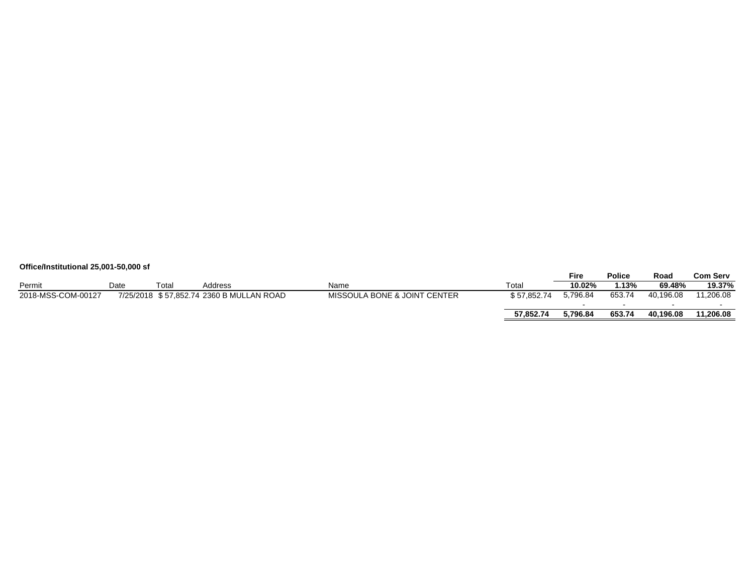## **Office/Institutional 25,001-50,000 sf**

|                    |      |       |                                          |                                         |             | Fire     | <b>Police</b> | Road      | Com Serv  |
|--------------------|------|-------|------------------------------------------|-----------------------------------------|-------------|----------|---------------|-----------|-----------|
| Permit             | Date | Total | Address                                  | Name                                    | Total       | 10.02%   | .13%          | 69.48%    | 19.37%    |
| 2018-MSS-COM-00127 |      |       | 7/25/2018 \$57,852.74 2360 B MULLAN ROAD | <b>MISSOULA BONE &amp; JOINT CENTER</b> | \$57.852.74 | 5.796.84 | 653.74        | 40.196.08 | 11,206.08 |
|                    |      |       |                                          |                                         |             |          |               |           |           |
|                    |      |       |                                          |                                         | 57.852.74   | 5.796.84 | 653.74        | 40.196.08 | 11.206.08 |
|                    |      |       |                                          |                                         |             |          |               |           |           |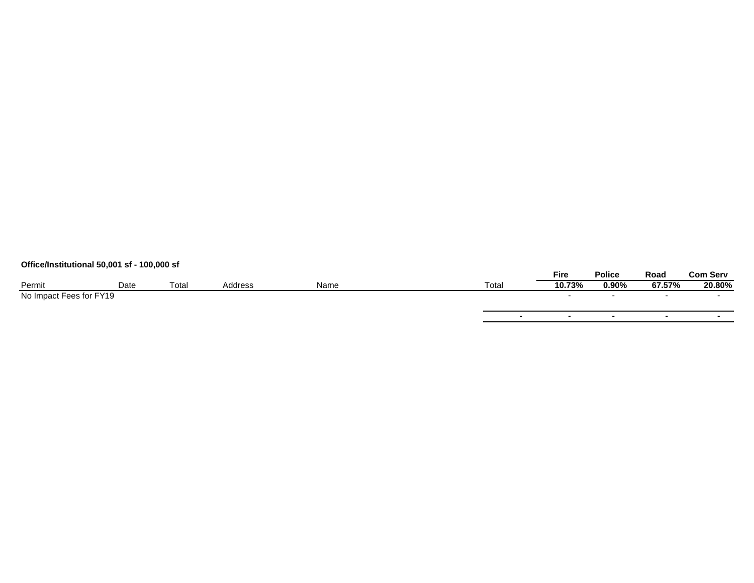## **Office/Institutional 50,001 sf - 100,000 sf**

|                         |      |       |         |      |                   | <b>Fire</b>              | <b>Police</b> | Road   | <b>Com Serv</b> |
|-------------------------|------|-------|---------|------|-------------------|--------------------------|---------------|--------|-----------------|
| Permit                  | Date | Total | Address | Name | Tota <sub>i</sub> | 10.73%                   | 0.90%         | 67.57% | 20.80%          |
| No Impact Fees for FY19 |      |       |         |      |                   | $\overline{\phantom{a}}$ |               |        | $\sim$          |
|                         |      |       |         |      |                   |                          |               |        |                 |
|                         |      |       |         |      | $\mathbf{r}$      |                          |               |        |                 |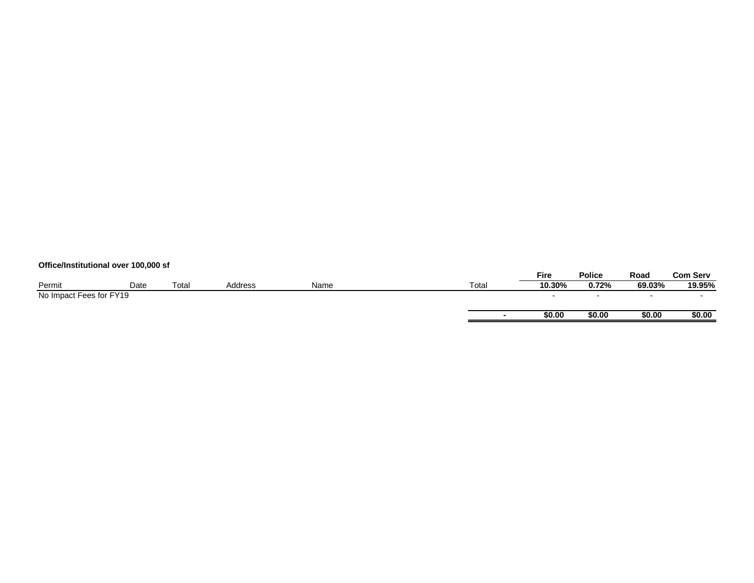## **Office/Institutional over 100,000 sf**

|                         |      |       |         |      |       | <b>Fire</b> | <b>Police</b> | Road   | <b>Com Serv</b> |
|-------------------------|------|-------|---------|------|-------|-------------|---------------|--------|-----------------|
| Permit                  | Date | Total | Address | Name | Total | 10.30%      | 0.72%         | 69.03% | 19.95%          |
| No Impact Fees for FY19 |      |       |         |      |       |             |               |        |                 |
|                         |      |       |         |      |       |             |               |        |                 |
|                         |      |       |         |      |       | \$0.00      | \$0.00        | \$0.00 | \$0.00          |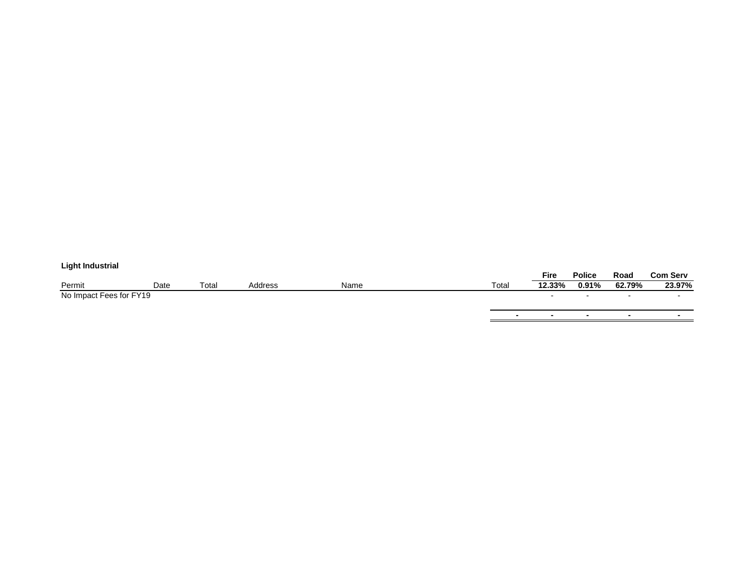## **Light Industrial**

| ___________             |      |       |         |      |       |             |               |                          |                 |
|-------------------------|------|-------|---------|------|-------|-------------|---------------|--------------------------|-----------------|
|                         |      |       |         |      |       | <b>Fire</b> | <b>Police</b> | Road                     | <b>Com Serv</b> |
| Permit                  | Date | Total | Address | Name | Total | 12.33%      | 0.91%         | 62.79%                   | 23.97%          |
| No Impact Fees for FY19 |      |       |         |      |       |             |               | $\overline{\phantom{0}}$ |                 |
|                         |      |       |         |      |       |             |               |                          |                 |
|                         |      |       |         |      |       |             |               |                          |                 |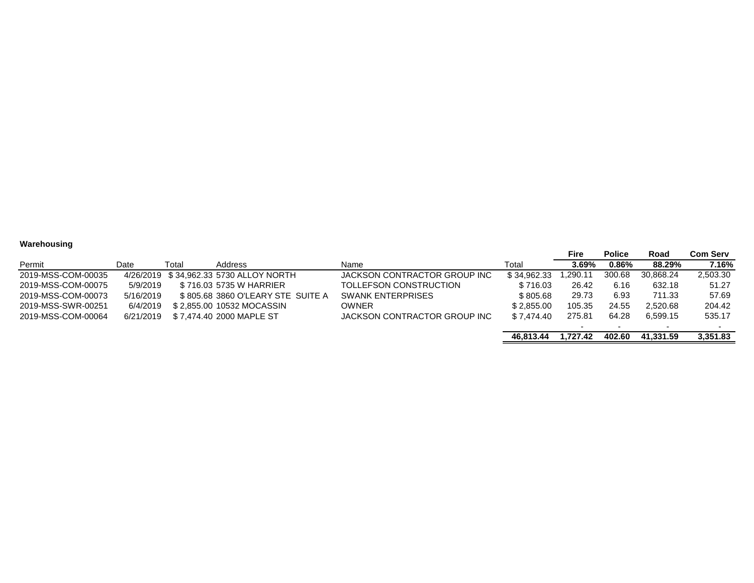## **Warehousing**

|                    |           |       |                                        |                              |             | Fire     | <b>Police</b> | Road      | <b>Com Serv</b> |
|--------------------|-----------|-------|----------------------------------------|------------------------------|-------------|----------|---------------|-----------|-----------------|
| Permit             | Date      | Total | <b>Address</b>                         | Name                         | Total       | 3.69%    | $0.86\%$      | 88.29%    | 7.16%           |
| 2019-MSS-COM-00035 |           |       | 4/26/2019 \$34.962.33 5730 ALLOY NORTH | JACKSON CONTRACTOR GROUP INC | \$34.962.33 | .290.11  | 300.68        | 30.868.24 | 2,503.30        |
| 2019-MSS-COM-00075 | 5/9/2019  |       | \$716.03 5735 W HARRIER                | TOLLEFSON CONSTRUCTION       | \$716.03    | 26.42    | 6.16          | 632.18    | 51.27           |
| 2019-MSS-COM-00073 | 5/16/2019 |       | \$805.68 3860 O'LEARY STE SUITE A      | <b>SWANK ENTERPRISES</b>     | \$ 805.68   | 29.73    | 6.93          | 711.33    | 57.69           |
| 2019-MSS-SWR-00251 | 6/4/2019  |       | \$2,855,00 10532 MOCASSIN              | <b>OWNER</b>                 | \$2.855.00  | 105.35   | 24.55         | 2,520.68  | 204.42          |
| 2019-MSS-COM-00064 | 6/21/2019 |       | \$ 7.474.40 2000 MAPLE ST              | JACKSON CONTRACTOR GROUP INC | \$7.474.40  | 275.81   | 64.28         | 6.599.15  | 535.17          |
|                    |           |       |                                        |                              |             |          |               |           |                 |
|                    |           |       |                                        |                              | 46.813.44   | 1.727.42 | 402.60        | 41.331.59 | 3.351.83        |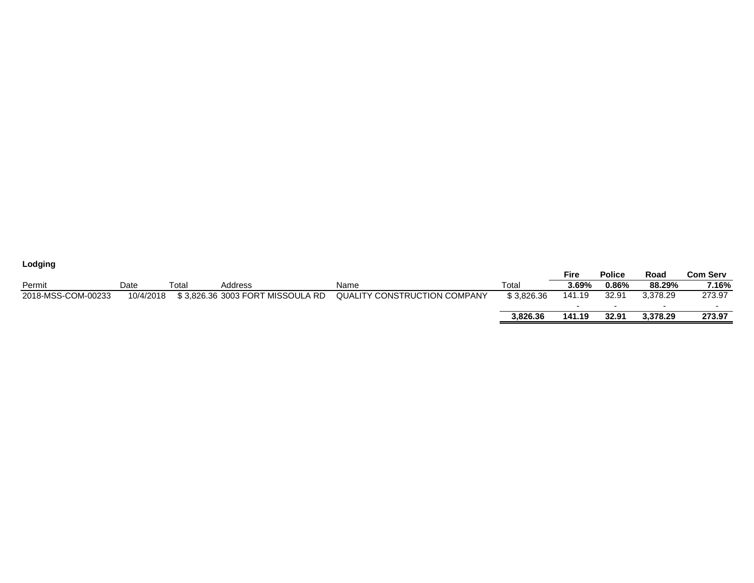| Lodging            |           |             |                                  |                              |            |                          |               |          |                 |
|--------------------|-----------|-------------|----------------------------------|------------------------------|------------|--------------------------|---------------|----------|-----------------|
|                    |           |             |                                  |                              |            | <b>Fire</b>              | <b>Police</b> | Road     | <b>Com Serv</b> |
| Permit             | Date      | $\tau$ otal | Address                          | Name                         | Total      | $3.69\%$                 | $0.86\%$      | 88.29%   | 7.16%           |
| 2018-MSS-COM-00233 | 10/4/2018 |             | \$3,826.36 3003 FORT MISSOULA RD | QUALITY CONSTRUCTION COMPANY | \$3.826.36 | 141.19                   | 32.91         | 3.378.29 | 273.97          |
|                    |           |             |                                  |                              |            | $\overline{\phantom{0}}$ |               |          | -               |
|                    |           |             |                                  |                              | 3.826.36   | 141.19                   | 32.91         | 3,378.29 | 273.97          |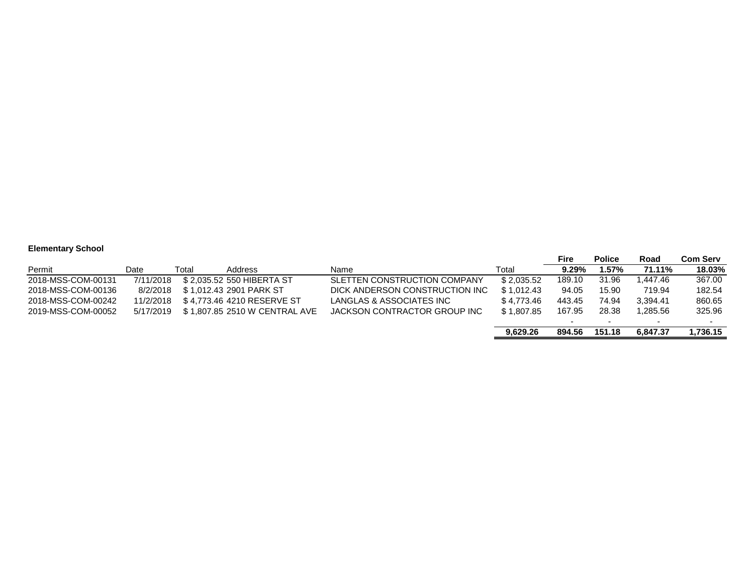## **Elementary School**

|                    |           |       |                               |                                |            | Fire                     | <b>Police</b> | Road      | <b>Com Serv</b> |
|--------------------|-----------|-------|-------------------------------|--------------------------------|------------|--------------------------|---------------|-----------|-----------------|
| Permit             | Date      | Total | Address                       | Name                           | Total      | $9.29\%$                 | .57%          | 71.11%    | 18.03%          |
| 2018-MSS-COM-00131 | 7/11/2018 |       | \$2.035.52 550 HIBERTA ST     | SLETTEN CONSTRUCTION COMPANY   | \$2.035.52 | 189.10                   | 31.96         | .447.46   | 367.00          |
| 2018-MSS-COM-00136 | 8/2/2018  |       | \$1.012.43 2901 PARK ST       | DICK ANDERSON CONSTRUCTION INC | \$1.012.43 | 94.05                    | 15.90         | 719.94    | 182.54          |
| 2018-MSS-COM-00242 | 11/2/2018 |       | \$4.773.46 4210 RESERVE ST    | LANGLAS & ASSOCIATES INC       | \$4.773.46 | 443.45                   | 74.94         | 3.394.41  | 860.65          |
| 2019-MSS-COM-00052 | 5/17/2019 |       | \$1.807.85 2510 W CENTRAL AVE | JACKSON CONTRACTOR GROUP INC   | \$1.807.85 | 167.95                   | 28.38         | 285.56. ا | 325.96          |
|                    |           |       |                               |                                |            | $\overline{\phantom{a}}$ |               |           |                 |
|                    |           |       |                               |                                | 9.629.26   | 894.56                   | 151.18        | 6.847.37  | 1,736.15        |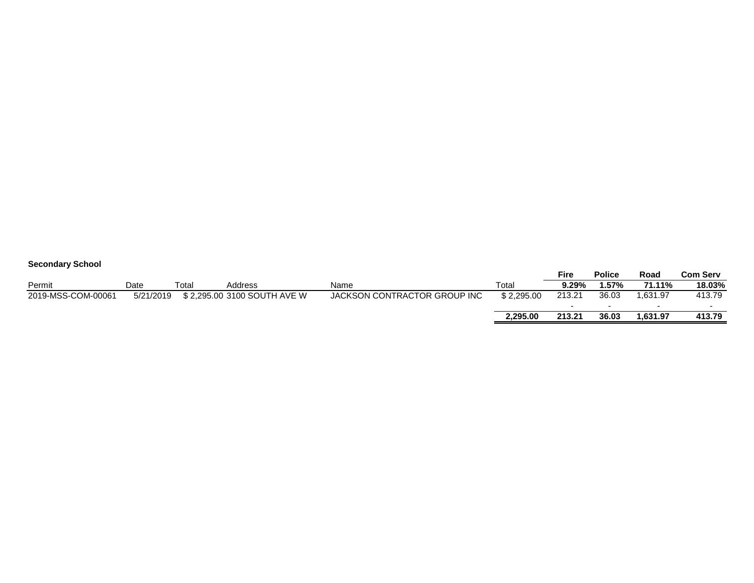| <b>Secondary School</b> |           |       |                             |                              |            |             |               |          |          |
|-------------------------|-----------|-------|-----------------------------|------------------------------|------------|-------------|---------------|----------|----------|
|                         |           |       |                             |                              |            | <b>Fire</b> | <b>Police</b> | Road     | Com Serv |
| Permit                  | Date      | Total | Address                     | Name                         | Total      | 9.29%       | .57%          | 71.11%   | 18.03%   |
| 2019-MSS-COM-00061      | 5/21/2019 |       | \$2,295,00 3100 SOUTH AVE W | JACKSON CONTRACTOR GROUP INC | \$2.295.00 | 213.21      | 36.03         | 1.631.97 | 413.79   |
|                         |           |       |                             |                              |            |             | $\sim$        | $\sim$   |          |
|                         |           |       |                             |                              | 2.295.00   | 213.21      | 36.03         | 1.631.97 | 413.79   |